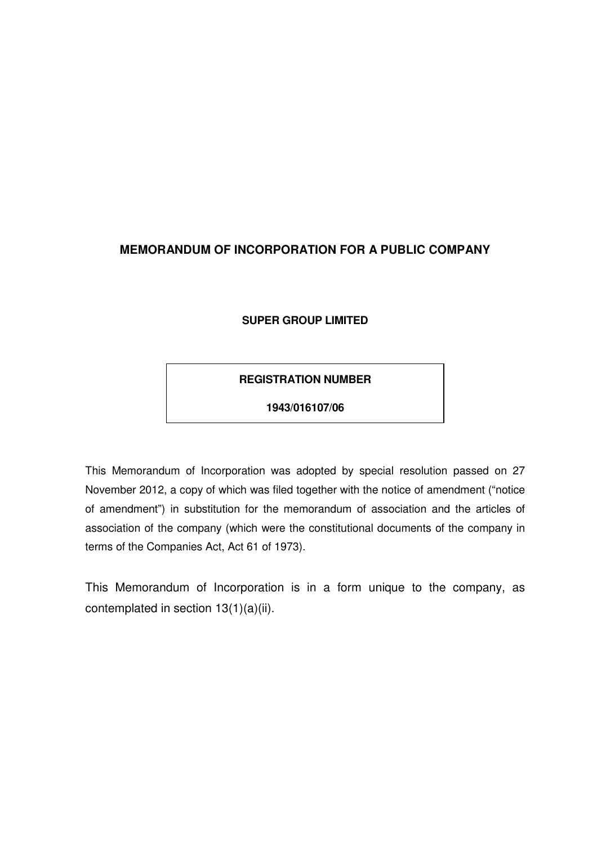# **MEMORANDUM OF INCORPORATION FOR A PUBLIC COMPANY**

# **SUPER GROUP LIMITED**

# **REGISTRATION NUMBER**

### **1943/016107/06**

This Memorandum of Incorporation was adopted by special resolution passed on 27 November 2012, a copy of which was filed together with the notice of amendment ("notice of amendment") in substitution for the memorandum of association and the articles of association of the company (which were the constitutional documents of the company in terms of the Companies Act, Act 61 of 1973).

This Memorandum of Incorporation is in a form unique to the company, as contemplated in section 13(1)(a)(ii).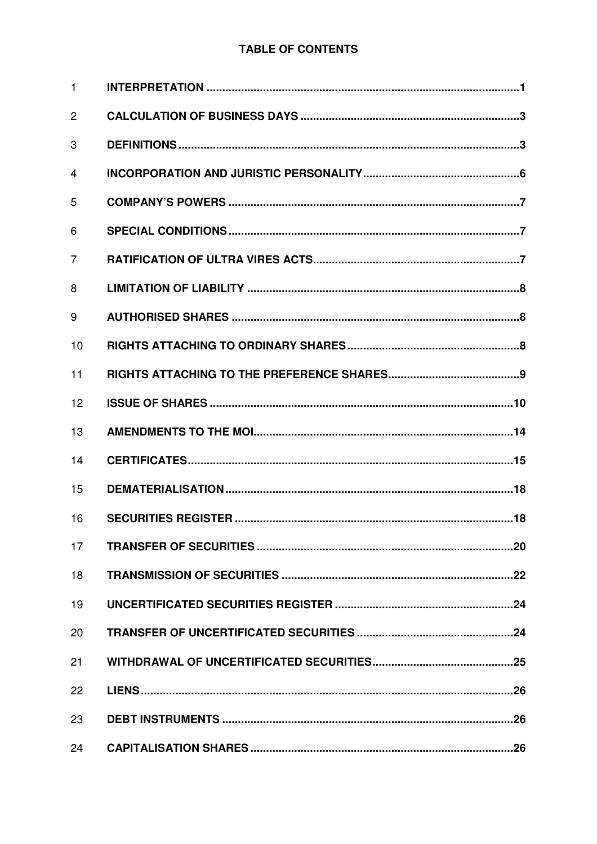# **TABLE OF CONTENTS**

| $\mathbf{1}$   |  |
|----------------|--|
| $\overline{2}$ |  |
| 3              |  |
| 4              |  |
| 5              |  |
| 6              |  |
| 7              |  |
| 8              |  |
| 9              |  |
| 10             |  |
| 11             |  |
| 12             |  |
| 13             |  |
| 14             |  |
| 15             |  |
| 16             |  |
| 17             |  |
| 18             |  |
| 19             |  |
| 20             |  |
| 21             |  |
| 22             |  |
| 23             |  |
| 24             |  |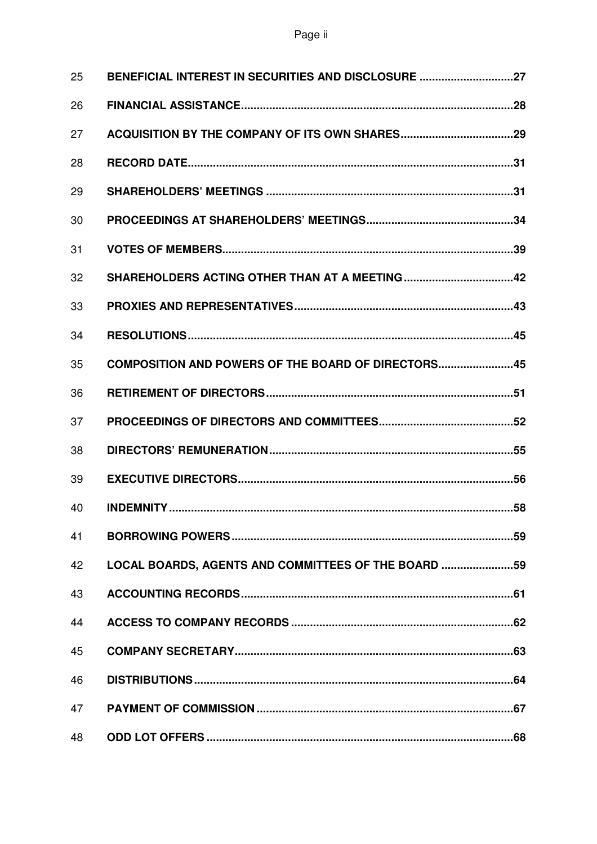| 25 | BENEFICIAL INTEREST IN SECURITIES AND DISCLOSURE 27  |  |
|----|------------------------------------------------------|--|
| 26 |                                                      |  |
| 27 |                                                      |  |
| 28 |                                                      |  |
| 29 |                                                      |  |
| 30 |                                                      |  |
| 31 |                                                      |  |
| 32 | SHAREHOLDERS ACTING OTHER THAN AT A MEETING42        |  |
| 33 |                                                      |  |
| 34 |                                                      |  |
| 35 | COMPOSITION AND POWERS OF THE BOARD OF DIRECTORS45   |  |
| 36 |                                                      |  |
| 37 |                                                      |  |
| 38 |                                                      |  |
| 39 |                                                      |  |
| 40 |                                                      |  |
| 41 |                                                      |  |
| 42 | LOCAL BOARDS, AGENTS AND COMMITTEES OF THE BOARD  59 |  |
| 43 |                                                      |  |
| 44 |                                                      |  |
| 45 |                                                      |  |
| 46 |                                                      |  |
| 47 |                                                      |  |
| 48 |                                                      |  |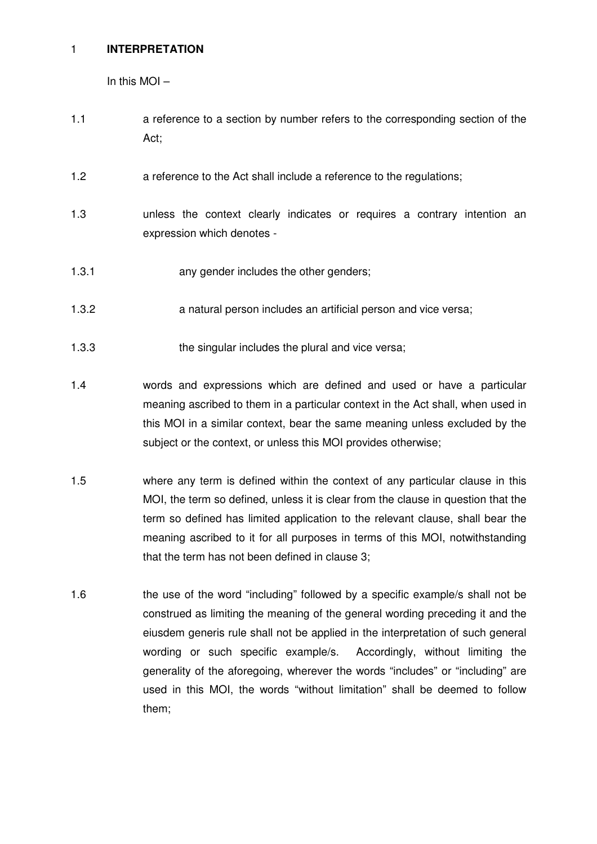### 1 **INTERPRETATION**

In this MOI –

- 1.1 a reference to a section by number refers to the corresponding section of the Act;
- 1.2 a reference to the Act shall include a reference to the regulations;
- 1.3 unless the context clearly indicates or requires a contrary intention an expression which denotes -
- 1.3.1 **any gender includes the other genders;**
- 1.3.2 a natural person includes an artificial person and vice versa;
- 1.3.3 the singular includes the plural and vice versa;
- 1.4 words and expressions which are defined and used or have a particular meaning ascribed to them in a particular context in the Act shall, when used in this MOI in a similar context, bear the same meaning unless excluded by the subject or the context, or unless this MOI provides otherwise;
- 1.5 where any term is defined within the context of any particular clause in this MOI, the term so defined, unless it is clear from the clause in question that the term so defined has limited application to the relevant clause, shall bear the meaning ascribed to it for all purposes in terms of this MOI, notwithstanding that the term has not been defined in clause 3;
- 1.6 the use of the word "including" followed by a specific example/s shall not be construed as limiting the meaning of the general wording preceding it and the eiusdem generis rule shall not be applied in the interpretation of such general wording or such specific example/s. Accordingly, without limiting the generality of the aforegoing, wherever the words "includes" or "including" are used in this MOI, the words "without limitation" shall be deemed to follow them;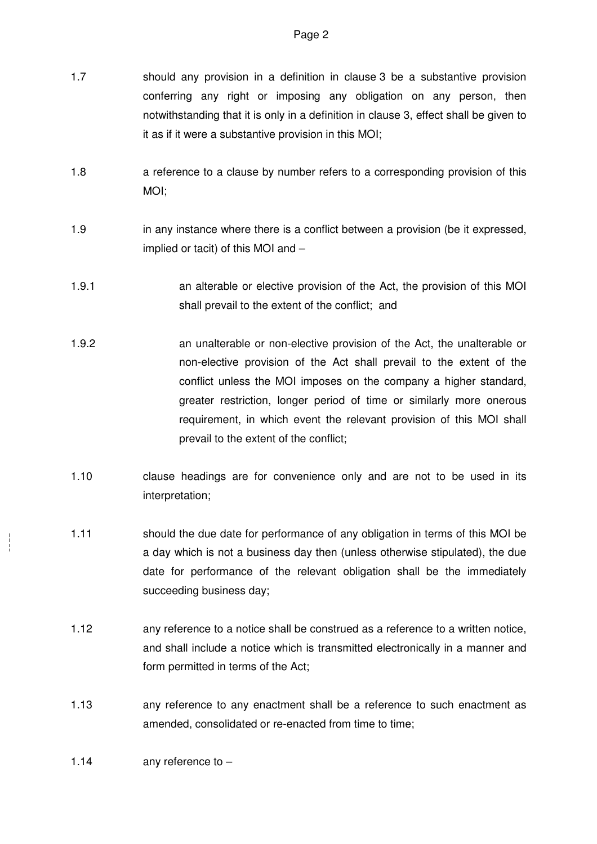- 1.7 should any provision in a definition in clause 3 be a substantive provision conferring any right or imposing any obligation on any person, then notwithstanding that it is only in a definition in clause 3, effect shall be given to it as if it were a substantive provision in this MOI;
- 1.8 a reference to a clause by number refers to a corresponding provision of this MOI;
- 1.9 in any instance where there is a conflict between a provision (be it expressed, implied or tacit) of this MOI and –
- 1.9.1 an alterable or elective provision of the Act, the provision of this MOI shall prevail to the extent of the conflict; and
- 1.9.2 an unalterable or non-elective provision of the Act, the unalterable or non-elective provision of the Act shall prevail to the extent of the conflict unless the MOI imposes on the company a higher standard, greater restriction, longer period of time or similarly more onerous requirement, in which event the relevant provision of this MOI shall prevail to the extent of the conflict;
- 1.10 clause headings are for convenience only and are not to be used in its interpretation;
- 1.11 should the due date for performance of any obligation in terms of this MOI be a day which is not a business day then (unless otherwise stipulated), the due date for performance of the relevant obligation shall be the immediately succeeding business day;
- 1.12 any reference to a notice shall be construed as a reference to a written notice, and shall include a notice which is transmitted electronically in a manner and form permitted in terms of the Act;
- 1.13 any reference to any enactment shall be a reference to such enactment as amended, consolidated or re-enacted from time to time;
- 1.14 any reference to –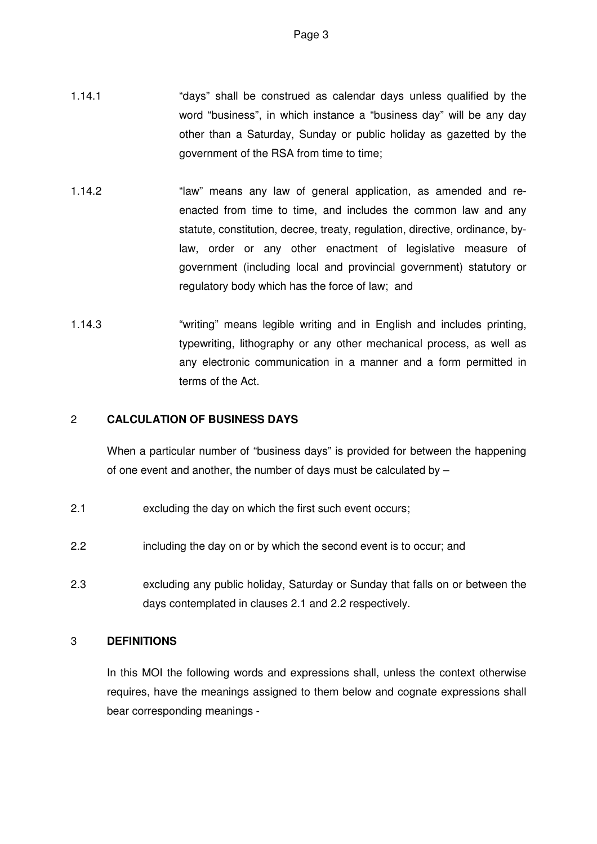- 1.14.1 "days" shall be construed as calendar days unless qualified by the word "business", in which instance a "business day" will be any day other than a Saturday, Sunday or public holiday as gazetted by the government of the RSA from time to time;
- 1.14.2 "law" means any law of general application, as amended and reenacted from time to time, and includes the common law and any statute, constitution, decree, treaty, regulation, directive, ordinance, bylaw, order or any other enactment of legislative measure of government (including local and provincial government) statutory or regulatory body which has the force of law; and
- 1.14.3 "writing" means legible writing and in English and includes printing, typewriting, lithography or any other mechanical process, as well as any electronic communication in a manner and a form permitted in terms of the Act.

# 2 **CALCULATION OF BUSINESS DAYS**

When a particular number of "business days" is provided for between the happening of one event and another, the number of days must be calculated by –

- 2.1 excluding the day on which the first such event occurs;
- 2.2 including the day on or by which the second event is to occur; and
- 2.3 excluding any public holiday, Saturday or Sunday that falls on or between the days contemplated in clauses 2.1 and 2.2 respectively.

### 3 **DEFINITIONS**

In this MOI the following words and expressions shall, unless the context otherwise requires, have the meanings assigned to them below and cognate expressions shall bear corresponding meanings -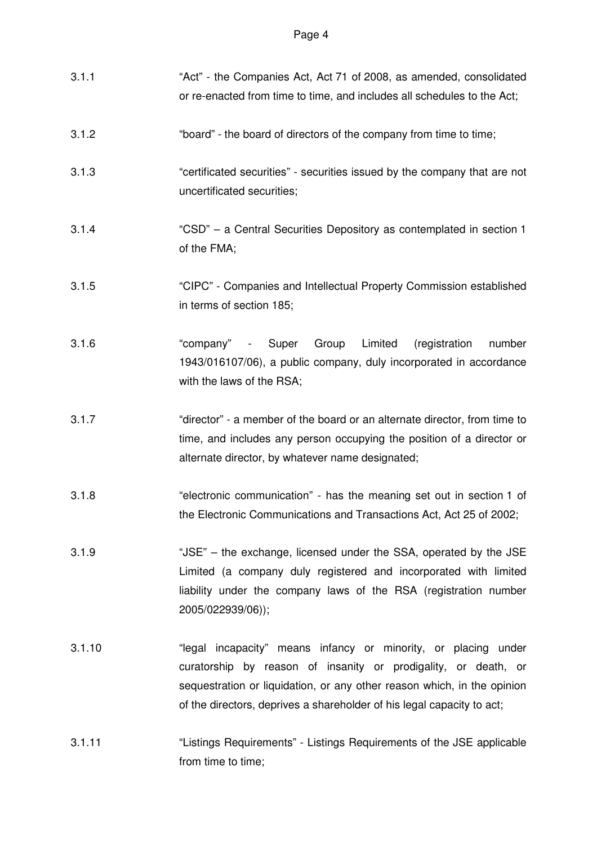| 3.1.1  | "Act" - the Companies Act, Act 71 of 2008, as amended, consolidated<br>or re-enacted from time to time, and includes all schedules to the Act;                                                                                                                                        |
|--------|---------------------------------------------------------------------------------------------------------------------------------------------------------------------------------------------------------------------------------------------------------------------------------------|
| 3.1.2  | "board" - the board of directors of the company from time to time;                                                                                                                                                                                                                    |
| 3.1.3  | "certificated securities" - securities issued by the company that are not<br>uncertificated securities;                                                                                                                                                                               |
| 3.1.4  | "CSD" - a Central Securities Depository as contemplated in section 1<br>of the FMA;                                                                                                                                                                                                   |
| 3.1.5  | "CIPC" - Companies and Intellectual Property Commission established<br>in terms of section 185;                                                                                                                                                                                       |
| 3.1.6  | "company" - Super Group<br>Limited<br>(registration<br>number<br>1943/016107/06), a public company, duly incorporated in accordance<br>with the laws of the RSA;                                                                                                                      |
| 3.1.7  | "director" - a member of the board or an alternate director, from time to<br>time, and includes any person occupying the position of a director or<br>alternate director, by whatever name designated;                                                                                |
| 3.1.8  | "electronic communication" - has the meaning set out in section 1 of<br>the Electronic Communications and Transactions Act, Act 25 of 2002;                                                                                                                                           |
| 3.1.9  | "JSE" - the exchange, licensed under the SSA, operated by the JSE<br>Limited (a company duly registered and incorporated with limited<br>liability under the company laws of the RSA (registration number<br>2005/022939/06));                                                        |
| 3.1.10 | "legal incapacity" means infancy or minority, or placing under<br>curatorship by reason of insanity or prodigality, or death, or<br>sequestration or liquidation, or any other reason which, in the opinion<br>of the directors, deprives a shareholder of his legal capacity to act; |
| 3.1.11 | "Listings Requirements" - Listings Requirements of the JSE applicable<br>from time to time;                                                                                                                                                                                           |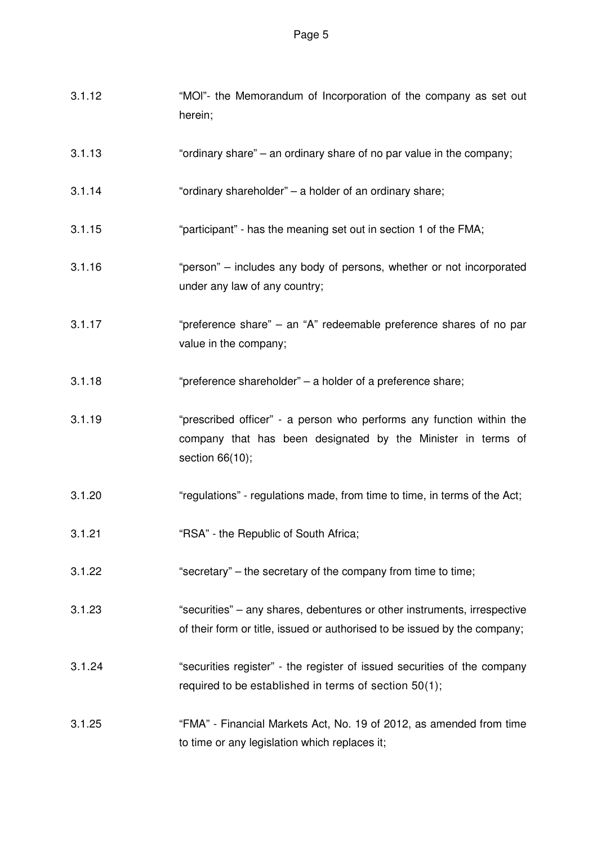| 3.1.12 | "MOI"- the Memorandum of Incorporation of the company as set out<br>herein;                                                                             |
|--------|---------------------------------------------------------------------------------------------------------------------------------------------------------|
| 3.1.13 | "ordinary share" – an ordinary share of no par value in the company;                                                                                    |
| 3.1.14 | "ordinary shareholder" - a holder of an ordinary share;                                                                                                 |
| 3.1.15 | "participant" - has the meaning set out in section 1 of the FMA;                                                                                        |
| 3.1.16 | "person" – includes any body of persons, whether or not incorporated<br>under any law of any country;                                                   |
| 3.1.17 | "preference share" – an "A" redeemable preference shares of no par<br>value in the company;                                                             |
| 3.1.18 | "preference shareholder" - a holder of a preference share;                                                                                              |
| 3.1.19 | "prescribed officer" - a person who performs any function within the<br>company that has been designated by the Minister in terms of<br>section 66(10); |
| 3.1.20 | "regulations" - regulations made, from time to time, in terms of the Act;                                                                               |
| 3.1.21 | "RSA" - the Republic of South Africa;                                                                                                                   |
| 3.1.22 | "secretary" – the secretary of the company from time to time;                                                                                           |
| 3.1.23 | "securities" – any shares, debentures or other instruments, irrespective<br>of their form or title, issued or authorised to be issued by the company;   |
| 3.1.24 | "securities register" - the register of issued securities of the company<br>required to be established in terms of section 50(1);                       |
| 3.1.25 | "FMA" - Financial Markets Act, No. 19 of 2012, as amended from time<br>to time or any legislation which replaces it;                                    |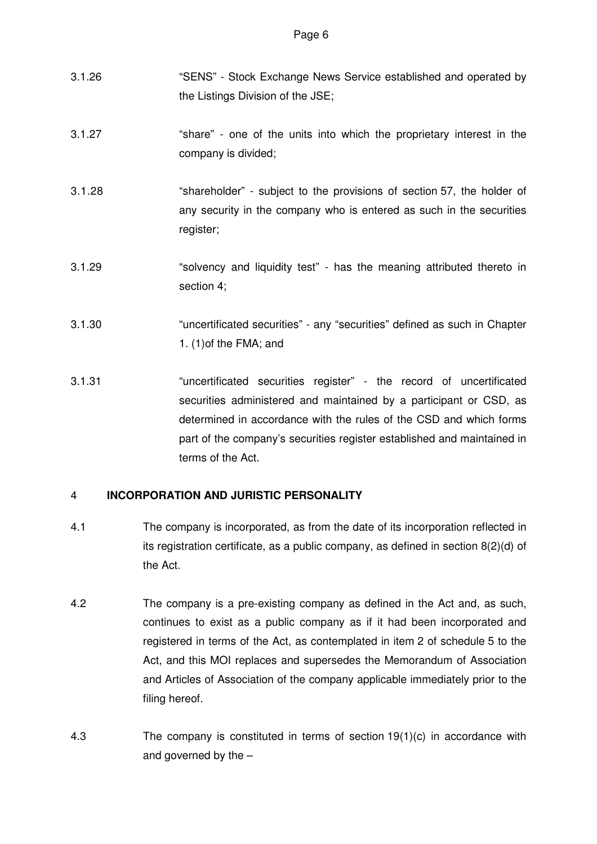- 3.1.26 "SENS" Stock Exchange News Service established and operated by the Listings Division of the JSE;
- 3.1.27 "share" one of the units into which the proprietary interest in the company is divided;
- 3.1.28 "shareholder" subject to the provisions of section 57, the holder of any security in the company who is entered as such in the securities register;
- 3.1.29 "solvency and liquidity test" has the meaning attributed thereto in section 4;
- 3.1.30 "uncertificated securities" any "securities" defined as such in Chapter 1. (1)of the FMA; and
- 3.1.31 "uncertificated securities register" the record of uncertificated securities administered and maintained by a participant or CSD, as determined in accordance with the rules of the CSD and which forms part of the company's securities register established and maintained in terms of the Act.

# 4 **INCORPORATION AND JURISTIC PERSONALITY**

- 4.1 The company is incorporated, as from the date of its incorporation reflected in its registration certificate, as a public company, as defined in section 8(2)(d) of the Act.
- 4.2 The company is a pre-existing company as defined in the Act and, as such, continues to exist as a public company as if it had been incorporated and registered in terms of the Act, as contemplated in item 2 of schedule 5 to the Act, and this MOI replaces and supersedes the Memorandum of Association and Articles of Association of the company applicable immediately prior to the filing hereof.
- 4.3 The company is constituted in terms of section 19(1)(c) in accordance with and governed by the –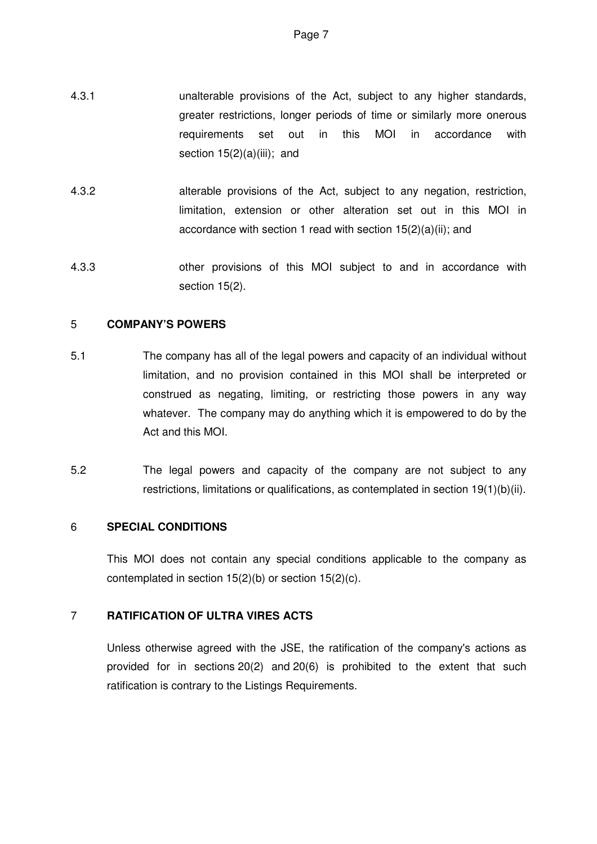- 4.3.1 unalterable provisions of the Act, subject to any higher standards, greater restrictions, longer periods of time or similarly more onerous requirements set out in this MOI in accordance with section  $15(2)(a)(iii)$ ; and
- 4.3.2 alterable provisions of the Act, subject to any negation, restriction, limitation, extension or other alteration set out in this MOI in accordance with section 1 read with section 15(2)(a)(ii); and
- 4.3.3 other provisions of this MOI subject to and in accordance with section 15(2).

# 5 **COMPANY'S POWERS**

- 5.1 The company has all of the legal powers and capacity of an individual without limitation, and no provision contained in this MOI shall be interpreted or construed as negating, limiting, or restricting those powers in any way whatever. The company may do anything which it is empowered to do by the Act and this MOI.
- 5.2 The legal powers and capacity of the company are not subject to any restrictions, limitations or qualifications, as contemplated in section 19(1)(b)(ii).

# 6 **SPECIAL CONDITIONS**

This MOI does not contain any special conditions applicable to the company as contemplated in section 15(2)(b) or section 15(2)(c).

# 7 **RATIFICATION OF ULTRA VIRES ACTS**

Unless otherwise agreed with the JSE, the ratification of the company's actions as provided for in sections 20(2) and 20(6) is prohibited to the extent that such ratification is contrary to the Listings Requirements.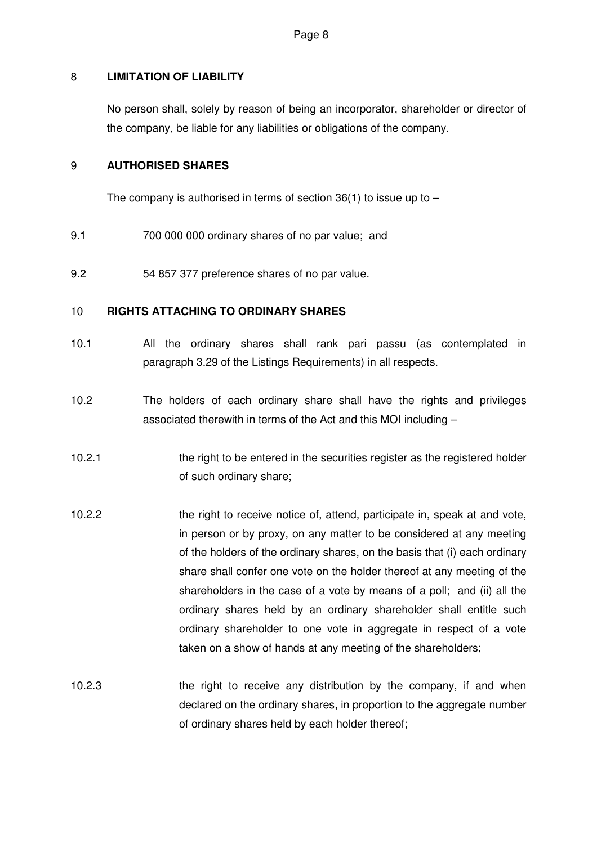# 8 **LIMITATION OF LIABILITY**

No person shall, solely by reason of being an incorporator, shareholder or director of the company, be liable for any liabilities or obligations of the company.

### 9 **AUTHORISED SHARES**

The company is authorised in terms of section  $36(1)$  to issue up to  $-$ 

- 9.1 700 000 000 ordinary shares of no par value; and
- 9.2 54 857 377 preference shares of no par value.

### 10 **RIGHTS ATTACHING TO ORDINARY SHARES**

- 10.1 All the ordinary shares shall rank pari passu (as contemplated in paragraph 3.29 of the Listings Requirements) in all respects.
- 10.2 The holders of each ordinary share shall have the rights and privileges associated therewith in terms of the Act and this MOI including –
- 10.2.1 the right to be entered in the securities register as the registered holder of such ordinary share;
- 10.2.2 the right to receive notice of, attend, participate in, speak at and vote, in person or by proxy, on any matter to be considered at any meeting of the holders of the ordinary shares, on the basis that (i) each ordinary share shall confer one vote on the holder thereof at any meeting of the shareholders in the case of a vote by means of a poll; and (ii) all the ordinary shares held by an ordinary shareholder shall entitle such ordinary shareholder to one vote in aggregate in respect of a vote taken on a show of hands at any meeting of the shareholders;
- 10.2.3 the right to receive any distribution by the company, if and when declared on the ordinary shares, in proportion to the aggregate number of ordinary shares held by each holder thereof;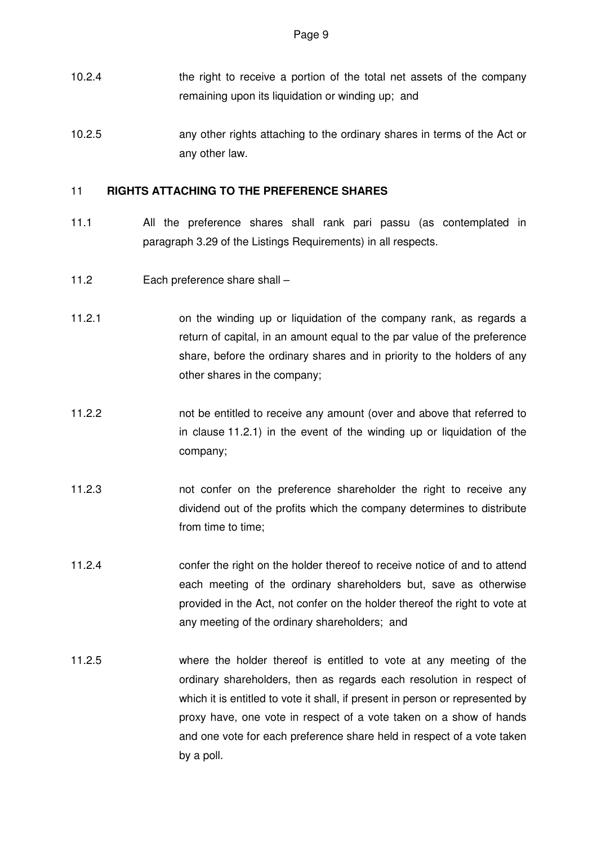- 10.2.4 the right to receive a portion of the total net assets of the company remaining upon its liquidation or winding up; and
- 10.2.5 any other rights attaching to the ordinary shares in terms of the Act or any other law.

### 11 **RIGHTS ATTACHING TO THE PREFERENCE SHARES**

- 11.1 All the preference shares shall rank pari passu (as contemplated in paragraph 3.29 of the Listings Requirements) in all respects.
- 11.2 Each preference share shall –
- 11.2.1 on the winding up or liquidation of the company rank, as regards a return of capital, in an amount equal to the par value of the preference share, before the ordinary shares and in priority to the holders of any other shares in the company;
- 11.2.2 not be entitled to receive any amount (over and above that referred to in clause 11.2.1) in the event of the winding up or liquidation of the company;
- 11.2.3 not confer on the preference shareholder the right to receive any dividend out of the profits which the company determines to distribute from time to time;
- 11.2.4 confer the right on the holder thereof to receive notice of and to attend each meeting of the ordinary shareholders but, save as otherwise provided in the Act, not confer on the holder thereof the right to vote at any meeting of the ordinary shareholders; and
- 11.2.5 where the holder thereof is entitled to vote at any meeting of the ordinary shareholders, then as regards each resolution in respect of which it is entitled to vote it shall, if present in person or represented by proxy have, one vote in respect of a vote taken on a show of hands and one vote for each preference share held in respect of a vote taken by a poll.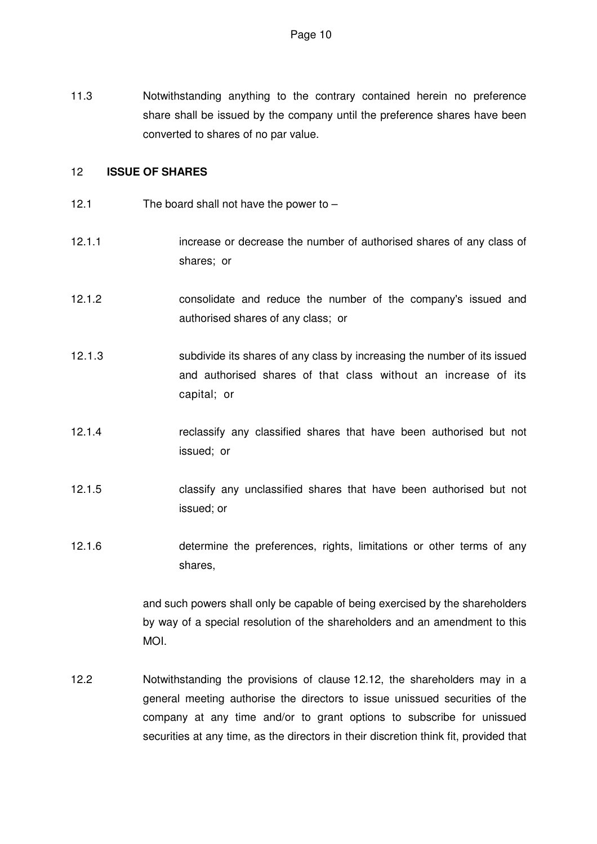11.3 Notwithstanding anything to the contrary contained herein no preference share shall be issued by the company until the preference shares have been converted to shares of no par value.

#### 12 **ISSUE OF SHARES**

- 12.1 The board shall not have the power to –
- 12.1.1 increase or decrease the number of authorised shares of any class of shares; or
- 12.1.2 consolidate and reduce the number of the company's issued and authorised shares of any class; or
- 12.1.3 subdivide its shares of any class by increasing the number of its issued and authorised shares of that class without an increase of its capital; or
- 12.1.4 reclassify any classified shares that have been authorised but not issued; or
- 12.1.5 classify any unclassified shares that have been authorised but not issued; or
- 12.1.6 determine the preferences, rights, limitations or other terms of any shares,

and such powers shall only be capable of being exercised by the shareholders by way of a special resolution of the shareholders and an amendment to this MOI.

12.2 Notwithstanding the provisions of clause 12.12, the shareholders may in a general meeting authorise the directors to issue unissued securities of the company at any time and/or to grant options to subscribe for unissued securities at any time, as the directors in their discretion think fit, provided that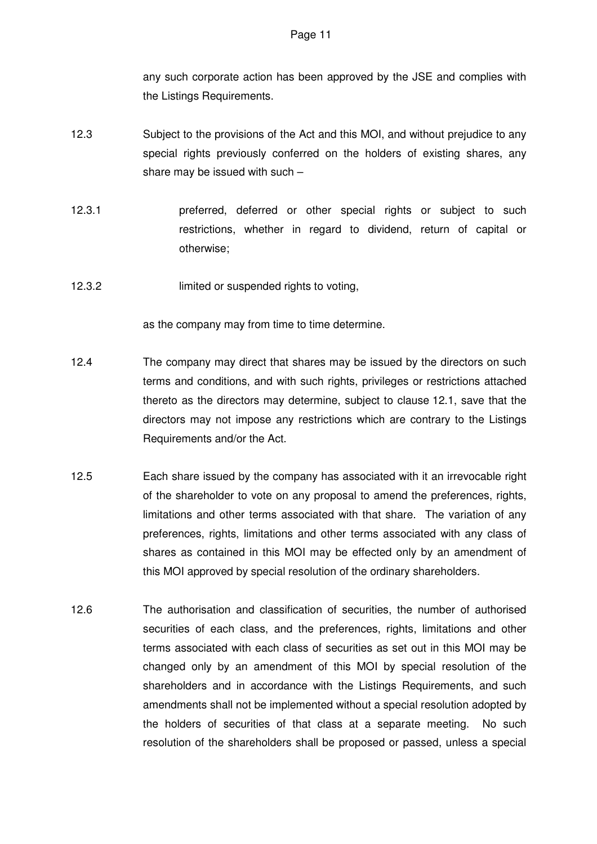any such corporate action has been approved by the JSE and complies with the Listings Requirements.

- 12.3 Subject to the provisions of the Act and this MOI, and without prejudice to any special rights previously conferred on the holders of existing shares, any share may be issued with such –
- 12.3.1 preferred, deferred or other special rights or subject to such restrictions, whether in regard to dividend, return of capital or otherwise;
- 12.3.2 limited or suspended rights to voting,

as the company may from time to time determine.

- 12.4 The company may direct that shares may be issued by the directors on such terms and conditions, and with such rights, privileges or restrictions attached thereto as the directors may determine, subject to clause 12.1, save that the directors may not impose any restrictions which are contrary to the Listings Requirements and/or the Act.
- 12.5 Each share issued by the company has associated with it an irrevocable right of the shareholder to vote on any proposal to amend the preferences, rights, limitations and other terms associated with that share. The variation of any preferences, rights, limitations and other terms associated with any class of shares as contained in this MOI may be effected only by an amendment of this MOI approved by special resolution of the ordinary shareholders.
- 12.6 The authorisation and classification of securities, the number of authorised securities of each class, and the preferences, rights, limitations and other terms associated with each class of securities as set out in this MOI may be changed only by an amendment of this MOI by special resolution of the shareholders and in accordance with the Listings Requirements, and such amendments shall not be implemented without a special resolution adopted by the holders of securities of that class at a separate meeting. No such resolution of the shareholders shall be proposed or passed, unless a special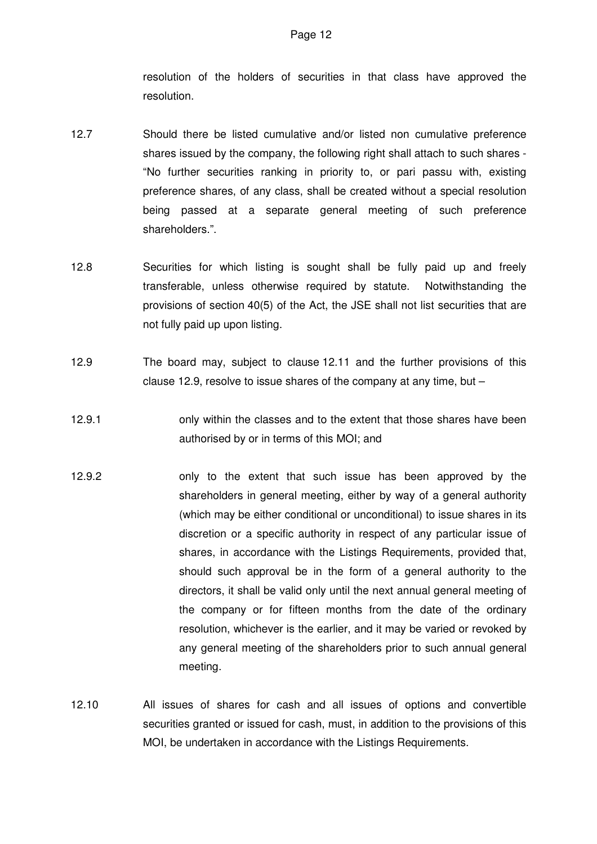resolution of the holders of securities in that class have approved the resolution.

- 12.7 Should there be listed cumulative and/or listed non cumulative preference shares issued by the company, the following right shall attach to such shares - "No further securities ranking in priority to, or pari passu with, existing preference shares, of any class, shall be created without a special resolution being passed at a separate general meeting of such preference shareholders.".
- 12.8 Securities for which listing is sought shall be fully paid up and freely transferable, unless otherwise required by statute. Notwithstanding the provisions of section 40(5) of the Act, the JSE shall not list securities that are not fully paid up upon listing.
- 12.9 The board may, subject to clause 12.11 and the further provisions of this clause 12.9, resolve to issue shares of the company at any time, but –
- 12.9.1 only within the classes and to the extent that those shares have been authorised by or in terms of this MOI; and
- 12.9.2 only to the extent that such issue has been approved by the shareholders in general meeting, either by way of a general authority (which may be either conditional or unconditional) to issue shares in its discretion or a specific authority in respect of any particular issue of shares, in accordance with the Listings Requirements, provided that, should such approval be in the form of a general authority to the directors, it shall be valid only until the next annual general meeting of the company or for fifteen months from the date of the ordinary resolution, whichever is the earlier, and it may be varied or revoked by any general meeting of the shareholders prior to such annual general meeting.
- 12.10 All issues of shares for cash and all issues of options and convertible securities granted or issued for cash, must, in addition to the provisions of this MOI, be undertaken in accordance with the Listings Requirements.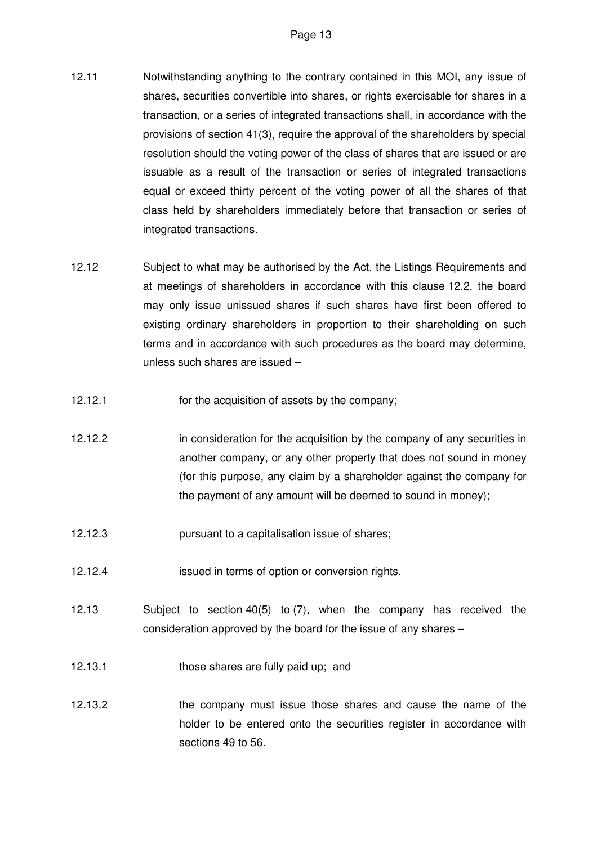- 12.11 Notwithstanding anything to the contrary contained in this MOI, any issue of shares, securities convertible into shares, or rights exercisable for shares in a transaction, or a series of integrated transactions shall, in accordance with the provisions of section 41(3), require the approval of the shareholders by special resolution should the voting power of the class of shares that are issued or are issuable as a result of the transaction or series of integrated transactions equal or exceed thirty percent of the voting power of all the shares of that class held by shareholders immediately before that transaction or series of integrated transactions.
- 12.12 Subject to what may be authorised by the Act, the Listings Requirements and at meetings of shareholders in accordance with this clause 12.2, the board may only issue unissued shares if such shares have first been offered to existing ordinary shareholders in proportion to their shareholding on such terms and in accordance with such procedures as the board may determine, unless such shares are issued –
- 12.12.1 for the acquisition of assets by the company;
- 12.12.2 in consideration for the acquisition by the company of any securities in another company, or any other property that does not sound in money (for this purpose, any claim by a shareholder against the company for the payment of any amount will be deemed to sound in money);
- 12.12.3 pursuant to a capitalisation issue of shares;
- 12.12.4 issued in terms of option or conversion rights.
- 12.13 Subject to section 40(5) to (7), when the company has received the consideration approved by the board for the issue of any shares –
- 12.13.1 those shares are fully paid up; and
- 12.13.2 the company must issue those shares and cause the name of the holder to be entered onto the securities register in accordance with sections 49 to 56.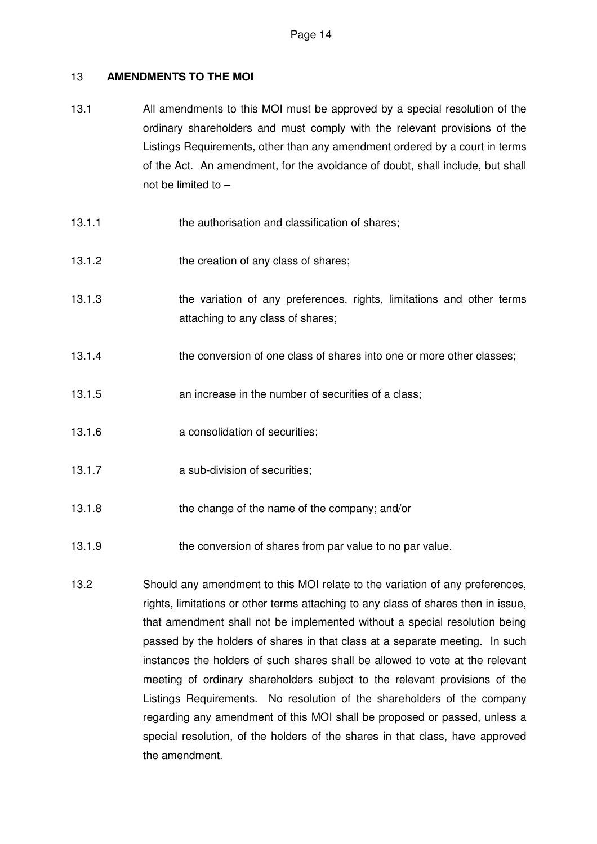# 13 **AMENDMENTS TO THE MOI**

- 13.1 All amendments to this MOI must be approved by a special resolution of the ordinary shareholders and must comply with the relevant provisions of the Listings Requirements, other than any amendment ordered by a court in terms of the Act. An amendment, for the avoidance of doubt, shall include, but shall not be limited to –
- 13.1.1 the authorisation and classification of shares;
- 13.1.2 the creation of any class of shares;
- 13.1.3 the variation of any preferences, rights, limitations and other terms attaching to any class of shares;
- 13.1.4 the conversion of one class of shares into one or more other classes;
- 13.1.5 an increase in the number of securities of a class;
- 13.1.6 **a consolidation of securities**;
- 13.1.7 **a sub-division of securities;**
- 13.1.8 the change of the name of the company; and/or
- 13.1.9 the conversion of shares from par value to no par value.
- 13.2 Should any amendment to this MOI relate to the variation of any preferences, rights, limitations or other terms attaching to any class of shares then in issue, that amendment shall not be implemented without a special resolution being passed by the holders of shares in that class at a separate meeting. In such instances the holders of such shares shall be allowed to vote at the relevant meeting of ordinary shareholders subject to the relevant provisions of the Listings Requirements. No resolution of the shareholders of the company regarding any amendment of this MOI shall be proposed or passed, unless a special resolution, of the holders of the shares in that class, have approved the amendment.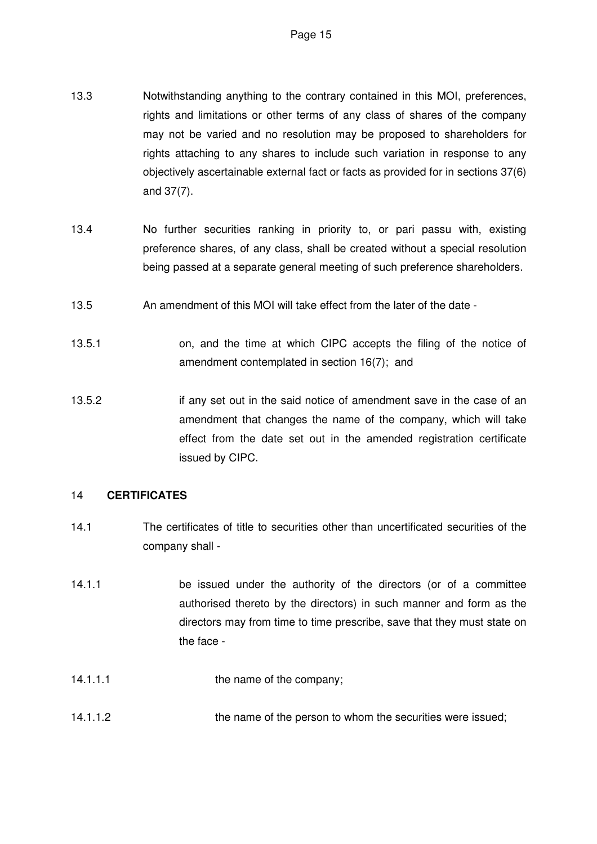- 13.3 Notwithstanding anything to the contrary contained in this MOI, preferences, rights and limitations or other terms of any class of shares of the company may not be varied and no resolution may be proposed to shareholders for rights attaching to any shares to include such variation in response to any objectively ascertainable external fact or facts as provided for in sections 37(6) and 37(7).
- 13.4 No further securities ranking in priority to, or pari passu with, existing preference shares, of any class, shall be created without a special resolution being passed at a separate general meeting of such preference shareholders.
- 13.5 An amendment of this MOI will take effect from the later of the date -
- 13.5.1 on, and the time at which CIPC accepts the filing of the notice of amendment contemplated in section 16(7); and
- 13.5.2 if any set out in the said notice of amendment save in the case of an amendment that changes the name of the company, which will take effect from the date set out in the amended registration certificate issued by CIPC.

### 14 **CERTIFICATES**

- 14.1 The certificates of title to securities other than uncertificated securities of the company shall -
- 14.1.1 be issued under the authority of the directors (or of a committee authorised thereto by the directors) in such manner and form as the directors may from time to time prescribe, save that they must state on the face -
- 14.1.1.1 the name of the company;
- 14.1.1.2 the name of the person to whom the securities were issued;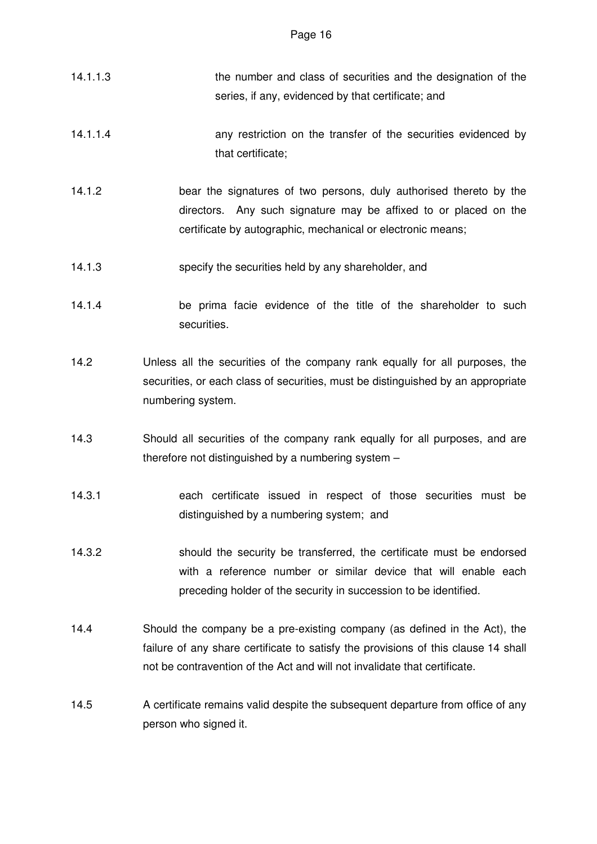- 14.1.1.3 the number and class of securities and the designation of the series, if any, evidenced by that certificate; and
- 14.1.1.4 any restriction on the transfer of the securities evidenced by that certificate;
- 14.1.2 bear the signatures of two persons, duly authorised thereto by the directors. Any such signature may be affixed to or placed on the certificate by autographic, mechanical or electronic means;
- 14.1.3 specify the securities held by any shareholder, and
- 14.1.4 be prima facie evidence of the title of the shareholder to such securities.
- 14.2 Unless all the securities of the company rank equally for all purposes, the securities, or each class of securities, must be distinguished by an appropriate numbering system.
- 14.3 Should all securities of the company rank equally for all purposes, and are therefore not distinguished by a numbering system –
- 14.3.1 each certificate issued in respect of those securities must be distinguished by a numbering system; and
- 14.3.2 should the security be transferred, the certificate must be endorsed with a reference number or similar device that will enable each preceding holder of the security in succession to be identified.
- 14.4 Should the company be a pre-existing company (as defined in the Act), the failure of any share certificate to satisfy the provisions of this clause 14 shall not be contravention of the Act and will not invalidate that certificate.
- 14.5 A certificate remains valid despite the subsequent departure from office of any person who signed it.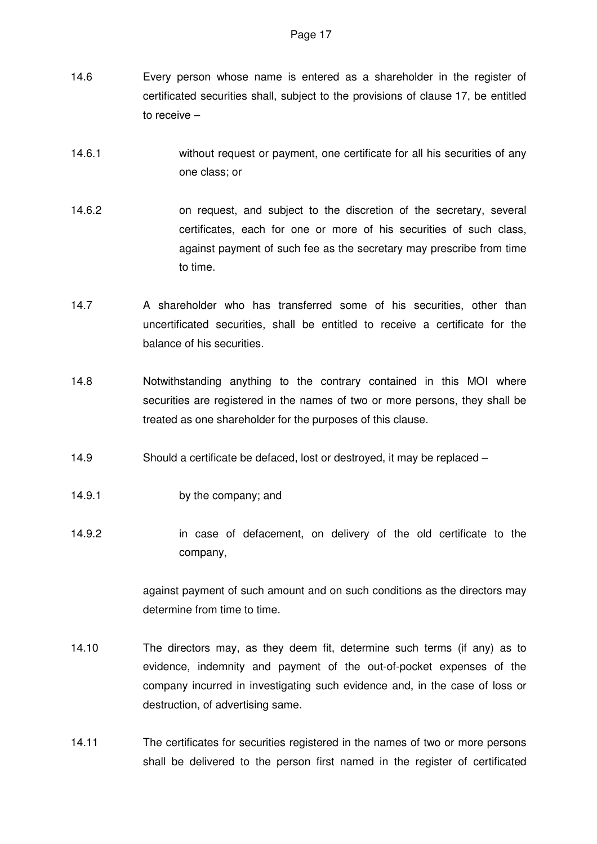- 14.6 Every person whose name is entered as a shareholder in the register of certificated securities shall, subject to the provisions of clause 17, be entitled to receive –
- 14.6.1 without request or payment, one certificate for all his securities of any one class; or
- 14.6.2 on request, and subject to the discretion of the secretary, several certificates, each for one or more of his securities of such class, against payment of such fee as the secretary may prescribe from time to time.
- 14.7 A shareholder who has transferred some of his securities, other than uncertificated securities, shall be entitled to receive a certificate for the balance of his securities.
- 14.8 Notwithstanding anything to the contrary contained in this MOI where securities are registered in the names of two or more persons, they shall be treated as one shareholder for the purposes of this clause.
- 14.9 Should a certificate be defaced, lost or destroyed, it may be replaced –
- 14.9.1 by the company; and
- 14.9.2 in case of defacement, on delivery of the old certificate to the company,

against payment of such amount and on such conditions as the directors may determine from time to time.

- 14.10 The directors may, as they deem fit, determine such terms (if any) as to evidence, indemnity and payment of the out-of-pocket expenses of the company incurred in investigating such evidence and, in the case of loss or destruction, of advertising same.
- 14.11 The certificates for securities registered in the names of two or more persons shall be delivered to the person first named in the register of certificated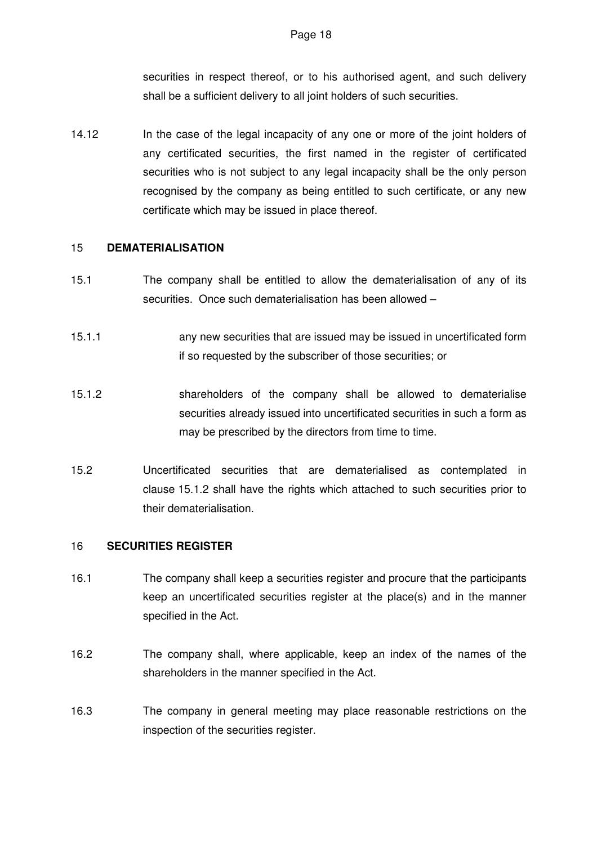securities in respect thereof, or to his authorised agent, and such delivery shall be a sufficient delivery to all joint holders of such securities.

14.12 In the case of the legal incapacity of any one or more of the joint holders of any certificated securities, the first named in the register of certificated securities who is not subject to any legal incapacity shall be the only person recognised by the company as being entitled to such certificate, or any new certificate which may be issued in place thereof.

#### 15 **DEMATERIALISATION**

- 15.1 The company shall be entitled to allow the dematerialisation of any of its securities. Once such dematerialisation has been allowed –
- 15.1.1 any new securities that are issued may be issued in uncertificated form if so requested by the subscriber of those securities; or
- 15.1.2 shareholders of the company shall be allowed to dematerialise securities already issued into uncertificated securities in such a form as may be prescribed by the directors from time to time.
- 15.2 Uncertificated securities that are dematerialised as contemplated in clause 15.1.2 shall have the rights which attached to such securities prior to their dematerialisation.

### 16 **SECURITIES REGISTER**

- 16.1 The company shall keep a securities register and procure that the participants keep an uncertificated securities register at the place(s) and in the manner specified in the Act.
- 16.2 The company shall, where applicable, keep an index of the names of the shareholders in the manner specified in the Act.
- 16.3 The company in general meeting may place reasonable restrictions on the inspection of the securities register.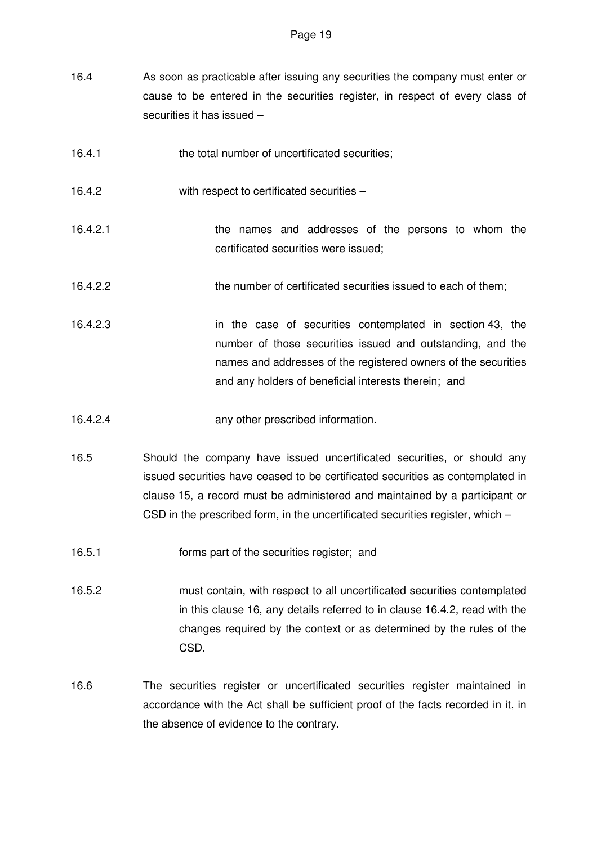- 16.4 As soon as practicable after issuing any securities the company must enter or cause to be entered in the securities register, in respect of every class of securities it has issued –
- 16.4.1 the total number of uncertificated securities;
- 16.4.2 with respect to certificated securities –
- 16.4.2.1 the names and addresses of the persons to whom the certificated securities were issued;
- 16.4.2.2 the number of certificated securities issued to each of them;
- 16.4.2.3 in the case of securities contemplated in section 43, the number of those securities issued and outstanding, and the names and addresses of the registered owners of the securities and any holders of beneficial interests therein; and
- 16.4.2.4 any other prescribed information.
- 16.5 Should the company have issued uncertificated securities, or should any issued securities have ceased to be certificated securities as contemplated in clause 15, a record must be administered and maintained by a participant or CSD in the prescribed form, in the uncertificated securities register, which –
- 16.5.1 forms part of the securities register; and
- 16.5.2 must contain, with respect to all uncertificated securities contemplated in this clause 16, any details referred to in clause 16.4.2, read with the changes required by the context or as determined by the rules of the CSD.
- 16.6 The securities register or uncertificated securities register maintained in accordance with the Act shall be sufficient proof of the facts recorded in it, in the absence of evidence to the contrary.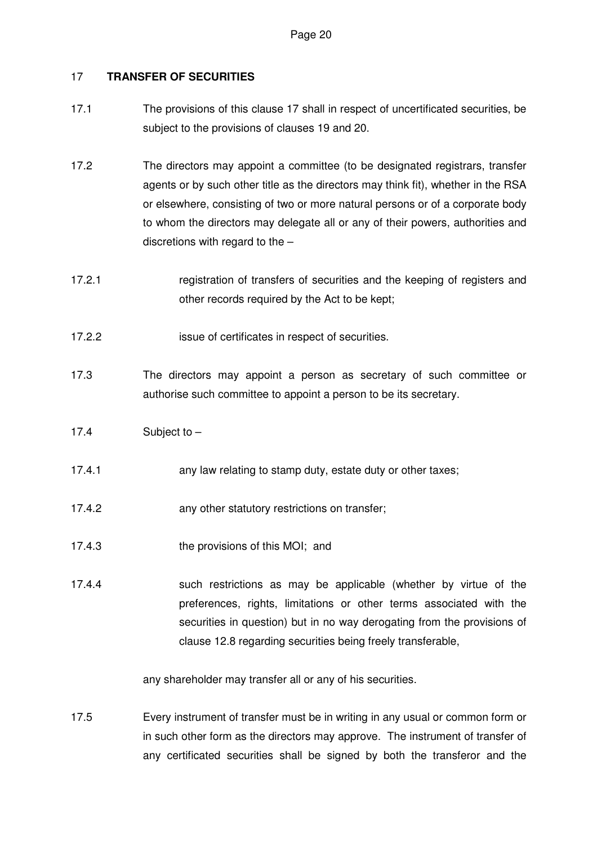# 17 **TRANSFER OF SECURITIES**

- 17.1 The provisions of this clause 17 shall in respect of uncertificated securities, be subject to the provisions of clauses 19 and 20.
- 17.2 The directors may appoint a committee (to be designated registrars, transfer agents or by such other title as the directors may think fit), whether in the RSA or elsewhere, consisting of two or more natural persons or of a corporate body to whom the directors may delegate all or any of their powers, authorities and discretions with regard to the –
- 17.2.1 registration of transfers of securities and the keeping of registers and other records required by the Act to be kept;
- 17.2.2 issue of certificates in respect of securities.
- 17.3 The directors may appoint a person as secretary of such committee or authorise such committee to appoint a person to be its secretary.
- 17.4 Subject to –
- 17.4.1 **any law relating to stamp duty, estate duty or other taxes;**
- 17.4.2 any other statutory restrictions on transfer;
- 17.4.3 the provisions of this MOI; and
- 17.4.4 such restrictions as may be applicable (whether by virtue of the preferences, rights, limitations or other terms associated with the securities in question) but in no way derogating from the provisions of clause 12.8 regarding securities being freely transferable,

any shareholder may transfer all or any of his securities.

17.5 Every instrument of transfer must be in writing in any usual or common form or in such other form as the directors may approve. The instrument of transfer of any certificated securities shall be signed by both the transferor and the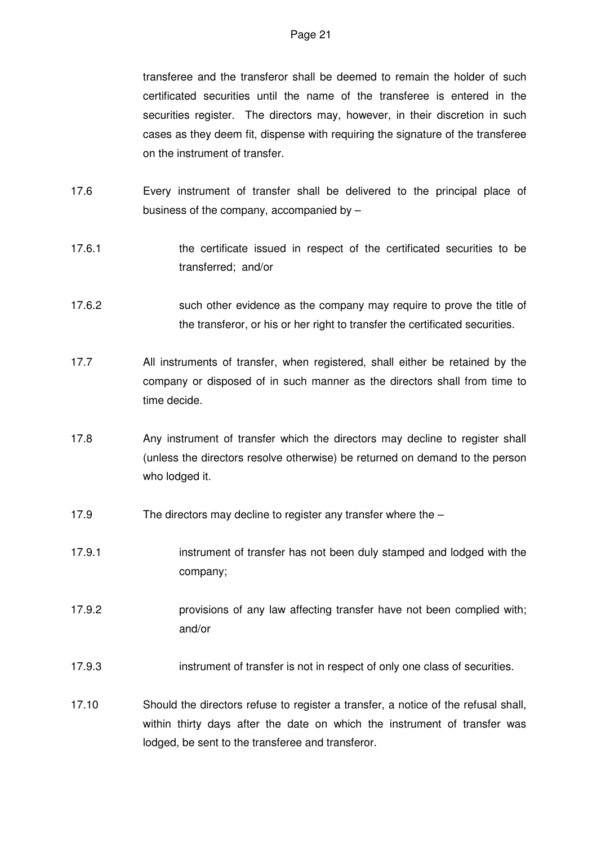transferee and the transferor shall be deemed to remain the holder of such certificated securities until the name of the transferee is entered in the securities register. The directors may, however, in their discretion in such cases as they deem fit, dispense with requiring the signature of the transferee on the instrument of transfer.

- 17.6 Every instrument of transfer shall be delivered to the principal place of business of the company, accompanied by –
- 17.6.1 the certificate issued in respect of the certificated securities to be transferred; and/or
- 17.6.2 such other evidence as the company may require to prove the title of the transferor, or his or her right to transfer the certificated securities.
- 17.7 All instruments of transfer, when registered, shall either be retained by the company or disposed of in such manner as the directors shall from time to time decide.
- 17.8 Any instrument of transfer which the directors may decline to register shall (unless the directors resolve otherwise) be returned on demand to the person who lodged it.
- 17.9 The directors may decline to register any transfer where the –
- 17.9.1 instrument of transfer has not been duly stamped and lodged with the company;
- 17.9.2 provisions of any law affecting transfer have not been complied with; and/or
- 17.9.3 instrument of transfer is not in respect of only one class of securities.
- 17.10 Should the directors refuse to register a transfer, a notice of the refusal shall, within thirty days after the date on which the instrument of transfer was lodged, be sent to the transferee and transferor.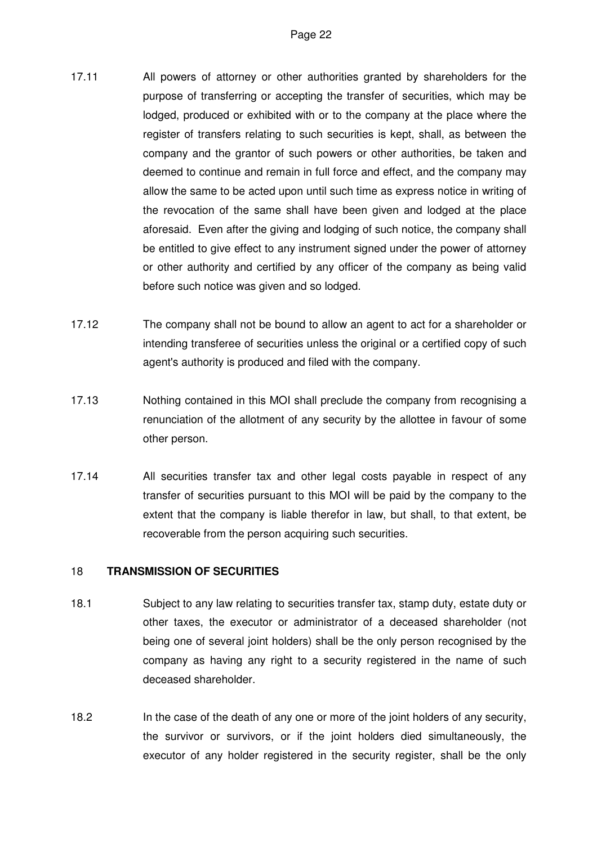- 17.11 All powers of attorney or other authorities granted by shareholders for the purpose of transferring or accepting the transfer of securities, which may be lodged, produced or exhibited with or to the company at the place where the register of transfers relating to such securities is kept, shall, as between the company and the grantor of such powers or other authorities, be taken and deemed to continue and remain in full force and effect, and the company may allow the same to be acted upon until such time as express notice in writing of the revocation of the same shall have been given and lodged at the place aforesaid. Even after the giving and lodging of such notice, the company shall be entitled to give effect to any instrument signed under the power of attorney or other authority and certified by any officer of the company as being valid before such notice was given and so lodged.
- 17.12 The company shall not be bound to allow an agent to act for a shareholder or intending transferee of securities unless the original or a certified copy of such agent's authority is produced and filed with the company.
- 17.13 Nothing contained in this MOI shall preclude the company from recognising a renunciation of the allotment of any security by the allottee in favour of some other person.
- 17.14 All securities transfer tax and other legal costs payable in respect of any transfer of securities pursuant to this MOI will be paid by the company to the extent that the company is liable therefor in law, but shall, to that extent, be recoverable from the person acquiring such securities.

### 18 **TRANSMISSION OF SECURITIES**

- 18.1 Subject to any law relating to securities transfer tax, stamp duty, estate duty or other taxes, the executor or administrator of a deceased shareholder (not being one of several joint holders) shall be the only person recognised by the company as having any right to a security registered in the name of such deceased shareholder.
- 18.2 In the case of the death of any one or more of the joint holders of any security, the survivor or survivors, or if the joint holders died simultaneously, the executor of any holder registered in the security register, shall be the only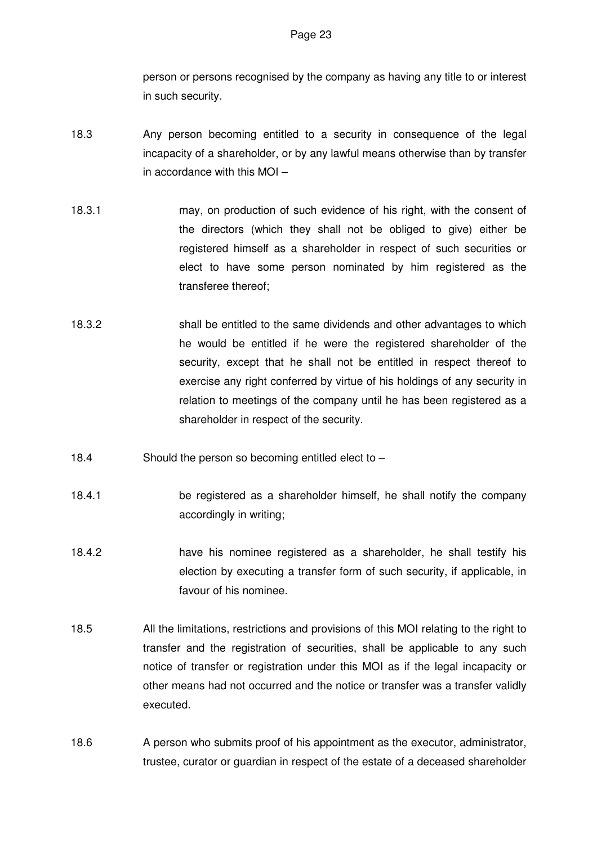person or persons recognised by the company as having any title to or interest in such security.

- 18.3 Any person becoming entitled to a security in consequence of the legal incapacity of a shareholder, or by any lawful means otherwise than by transfer in accordance with this MOI –
- 18.3.1 may, on production of such evidence of his right, with the consent of the directors (which they shall not be obliged to give) either be registered himself as a shareholder in respect of such securities or elect to have some person nominated by him registered as the transferee thereof;
- 18.3.2 shall be entitled to the same dividends and other advantages to which he would be entitled if he were the registered shareholder of the security, except that he shall not be entitled in respect thereof to exercise any right conferred by virtue of his holdings of any security in relation to meetings of the company until he has been registered as a shareholder in respect of the security.
- 18.4 Should the person so becoming entitled elect to –
- 18.4.1 be registered as a shareholder himself, he shall notify the company accordingly in writing;
- 18.4.2 have his nominee registered as a shareholder, he shall testify his election by executing a transfer form of such security, if applicable, in favour of his nominee.
- 18.5 All the limitations, restrictions and provisions of this MOI relating to the right to transfer and the registration of securities, shall be applicable to any such notice of transfer or registration under this MOI as if the legal incapacity or other means had not occurred and the notice or transfer was a transfer validly executed.
- 18.6 A person who submits proof of his appointment as the executor, administrator, trustee, curator or guardian in respect of the estate of a deceased shareholder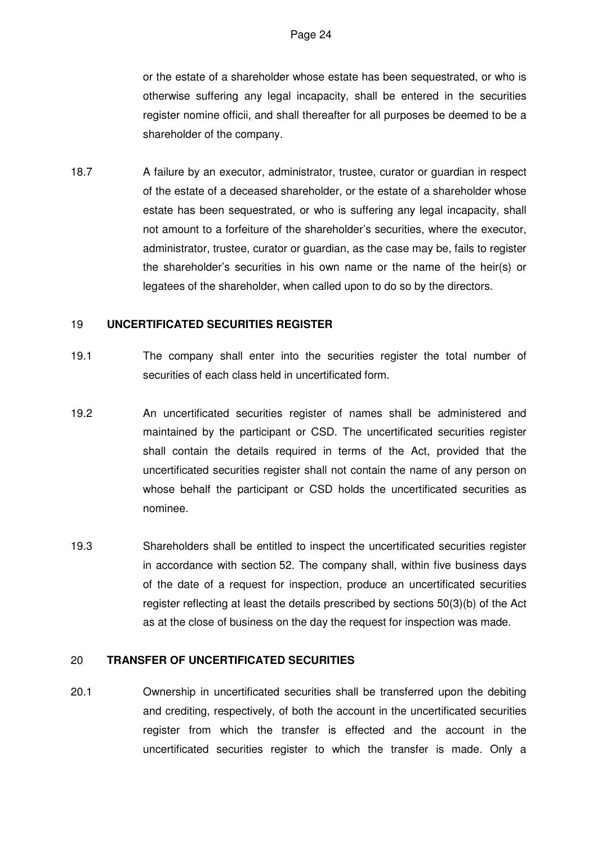or the estate of a shareholder whose estate has been sequestrated, or who is otherwise suffering any legal incapacity, shall be entered in the securities register nomine officii, and shall thereafter for all purposes be deemed to be a shareholder of the company.

18.7 A failure by an executor, administrator, trustee, curator or guardian in respect of the estate of a deceased shareholder, or the estate of a shareholder whose estate has been sequestrated, or who is suffering any legal incapacity, shall not amount to a forfeiture of the shareholder's securities, where the executor, administrator, trustee, curator or guardian, as the case may be, fails to register the shareholder's securities in his own name or the name of the heir(s) or legatees of the shareholder, when called upon to do so by the directors.

### 19 **UNCERTIFICATED SECURITIES REGISTER**

- 19.1 The company shall enter into the securities register the total number of securities of each class held in uncertificated form.
- 19.2 An uncertificated securities register of names shall be administered and maintained by the participant or CSD. The uncertificated securities register shall contain the details required in terms of the Act, provided that the uncertificated securities register shall not contain the name of any person on whose behalf the participant or CSD holds the uncertificated securities as nominee.
- 19.3 Shareholders shall be entitled to inspect the uncertificated securities register in accordance with section 52. The company shall, within five business days of the date of a request for inspection, produce an uncertificated securities register reflecting at least the details prescribed by sections 50(3)(b) of the Act as at the close of business on the day the request for inspection was made.

#### 20 **TRANSFER OF UNCERTIFICATED SECURITIES**

20.1 Ownership in uncertificated securities shall be transferred upon the debiting and crediting, respectively, of both the account in the uncertificated securities register from which the transfer is effected and the account in the uncertificated securities register to which the transfer is made. Only a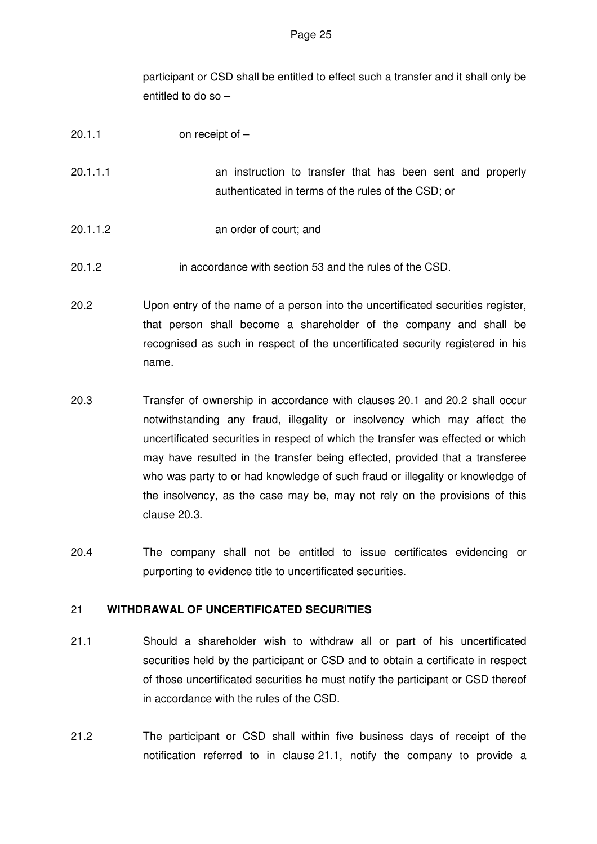participant or CSD shall be entitled to effect such a transfer and it shall only be entitled to do so –

- 20.1.1 on receipt of –
- 20.1.1.1 an instruction to transfer that has been sent and properly authenticated in terms of the rules of the CSD; or
- 20.1.1.2 an order of court; and
- 20.1.2 in accordance with section 53 and the rules of the CSD.
- 20.2 Upon entry of the name of a person into the uncertificated securities register, that person shall become a shareholder of the company and shall be recognised as such in respect of the uncertificated security registered in his name.
- 20.3 Transfer of ownership in accordance with clauses 20.1 and 20.2 shall occur notwithstanding any fraud, illegality or insolvency which may affect the uncertificated securities in respect of which the transfer was effected or which may have resulted in the transfer being effected, provided that a transferee who was party to or had knowledge of such fraud or illegality or knowledge of the insolvency, as the case may be, may not rely on the provisions of this clause 20.3.
- 20.4 The company shall not be entitled to issue certificates evidencing or purporting to evidence title to uncertificated securities.

### 21 **WITHDRAWAL OF UNCERTIFICATED SECURITIES**

- 21.1 Should a shareholder wish to withdraw all or part of his uncertificated securities held by the participant or CSD and to obtain a certificate in respect of those uncertificated securities he must notify the participant or CSD thereof in accordance with the rules of the CSD.
- 21.2 The participant or CSD shall within five business days of receipt of the notification referred to in clause 21.1, notify the company to provide a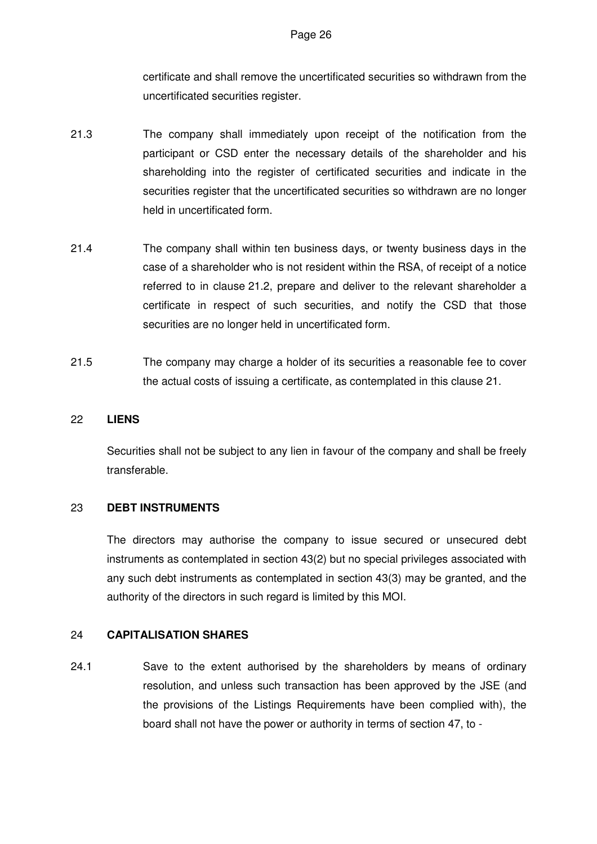certificate and shall remove the uncertificated securities so withdrawn from the uncertificated securities register.

- 21.3 The company shall immediately upon receipt of the notification from the participant or CSD enter the necessary details of the shareholder and his shareholding into the register of certificated securities and indicate in the securities register that the uncertificated securities so withdrawn are no longer held in uncertificated form.
- 21.4 The company shall within ten business days, or twenty business days in the case of a shareholder who is not resident within the RSA, of receipt of a notice referred to in clause 21.2, prepare and deliver to the relevant shareholder a certificate in respect of such securities, and notify the CSD that those securities are no longer held in uncertificated form.
- 21.5 The company may charge a holder of its securities a reasonable fee to cover the actual costs of issuing a certificate, as contemplated in this clause 21.

#### 22 **LIENS**

Securities shall not be subject to any lien in favour of the company and shall be freely transferable.

### 23 **DEBT INSTRUMENTS**

The directors may authorise the company to issue secured or unsecured debt instruments as contemplated in section 43(2) but no special privileges associated with any such debt instruments as contemplated in section 43(3) may be granted, and the authority of the directors in such regard is limited by this MOI.

#### 24 **CAPITALISATION SHARES**

24.1 Save to the extent authorised by the shareholders by means of ordinary resolution, and unless such transaction has been approved by the JSE (and the provisions of the Listings Requirements have been complied with), the board shall not have the power or authority in terms of section 47, to -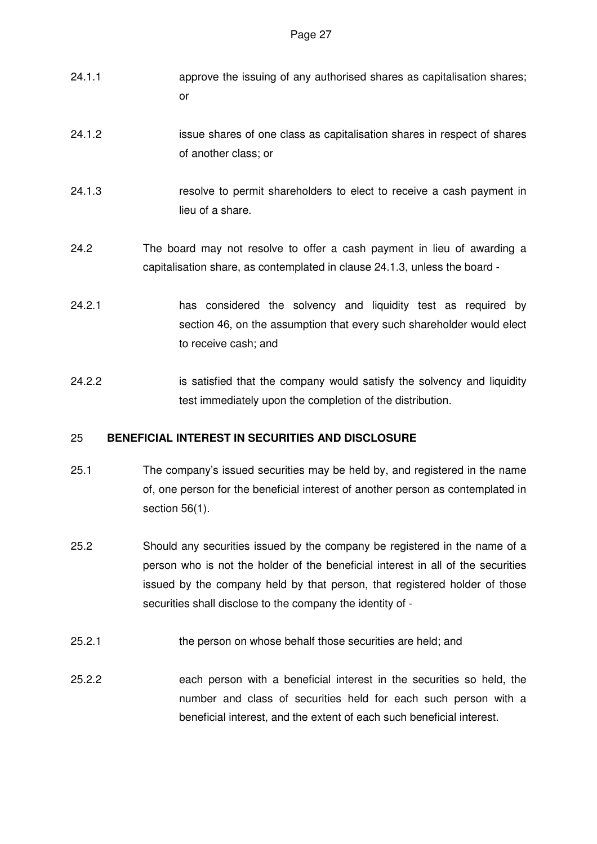- 24.1.1 approve the issuing of any authorised shares as capitalisation shares; or
- 24.1.2 issue shares of one class as capitalisation shares in respect of shares of another class; or
- 24.1.3 resolve to permit shareholders to elect to receive a cash payment in lieu of a share.
- 24.2 The board may not resolve to offer a cash payment in lieu of awarding a capitalisation share, as contemplated in clause 24.1.3, unless the board -
- 24.2.1 has considered the solvency and liquidity test as required by section 46, on the assumption that every such shareholder would elect to receive cash; and
- 24.2.2 is satisfied that the company would satisfy the solvency and liquidity test immediately upon the completion of the distribution.

### 25 **BENEFICIAL INTEREST IN SECURITIES AND DISCLOSURE**

- 25.1 The company's issued securities may be held by, and registered in the name of, one person for the beneficial interest of another person as contemplated in section 56(1).
- 25.2 Should any securities issued by the company be registered in the name of a person who is not the holder of the beneficial interest in all of the securities issued by the company held by that person, that registered holder of those securities shall disclose to the company the identity of -
- 25.2.1 the person on whose behalf those securities are held; and
- 25.2.2 each person with a beneficial interest in the securities so held, the number and class of securities held for each such person with a beneficial interest, and the extent of each such beneficial interest.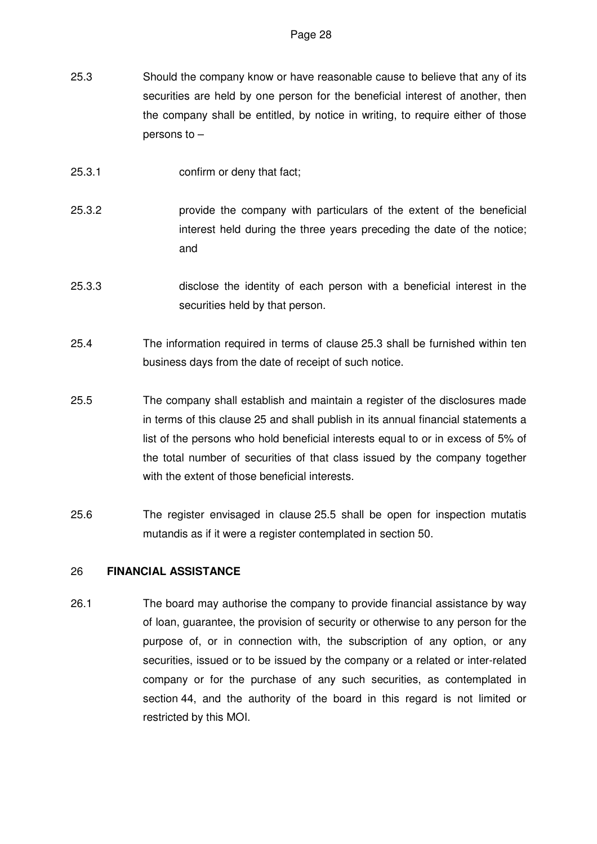- 25.3 Should the company know or have reasonable cause to believe that any of its securities are held by one person for the beneficial interest of another, then the company shall be entitled, by notice in writing, to require either of those persons to –
- 25.3.1 confirm or deny that fact;
- 25.3.2 provide the company with particulars of the extent of the beneficial interest held during the three years preceding the date of the notice; and
- 25.3.3 disclose the identity of each person with a beneficial interest in the securities held by that person.
- 25.4 The information required in terms of clause 25.3 shall be furnished within ten business days from the date of receipt of such notice.
- 25.5 The company shall establish and maintain a register of the disclosures made in terms of this clause 25 and shall publish in its annual financial statements a list of the persons who hold beneficial interests equal to or in excess of 5% of the total number of securities of that class issued by the company together with the extent of those beneficial interests.
- 25.6 The register envisaged in clause 25.5 shall be open for inspection mutatis mutandis as if it were a register contemplated in section 50.

#### 26 **FINANCIAL ASSISTANCE**

26.1 The board may authorise the company to provide financial assistance by way of loan, guarantee, the provision of security or otherwise to any person for the purpose of, or in connection with, the subscription of any option, or any securities, issued or to be issued by the company or a related or inter-related company or for the purchase of any such securities, as contemplated in section 44, and the authority of the board in this regard is not limited or restricted by this MOI.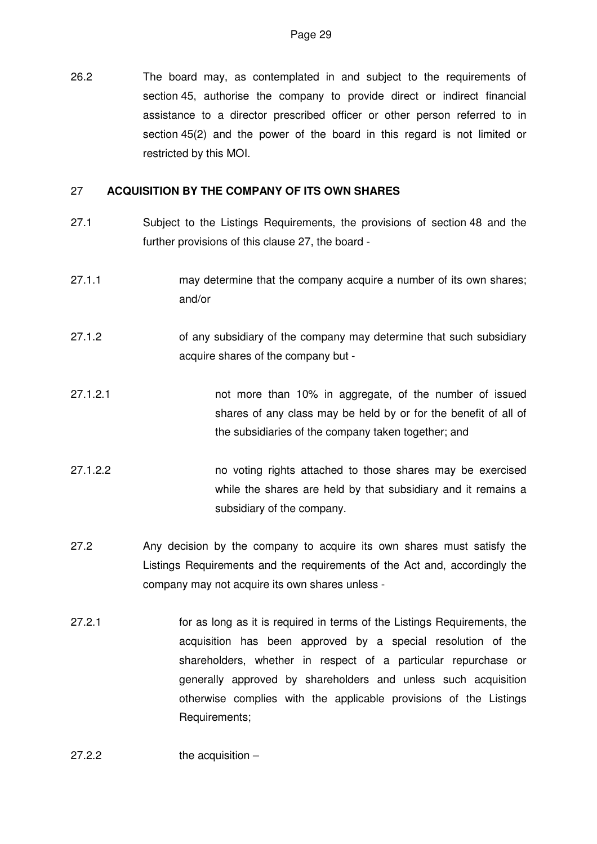26.2 The board may, as contemplated in and subject to the requirements of section 45, authorise the company to provide direct or indirect financial assistance to a director prescribed officer or other person referred to in section 45(2) and the power of the board in this regard is not limited or restricted by this MOI.

#### 27 **ACQUISITION BY THE COMPANY OF ITS OWN SHARES**

- 27.1 Subject to the Listings Requirements, the provisions of section 48 and the further provisions of this clause 27, the board -
- 27.1.1 may determine that the company acquire a number of its own shares; and/or
- 27.1.2 of any subsidiary of the company may determine that such subsidiary acquire shares of the company but -
- 27.1.2.1 not more than 10% in aggregate, of the number of issued shares of any class may be held by or for the benefit of all of the subsidiaries of the company taken together; and
- 27.1.2.2 no voting rights attached to those shares may be exercised while the shares are held by that subsidiary and it remains a subsidiary of the company.
- 27.2 Any decision by the company to acquire its own shares must satisfy the Listings Requirements and the requirements of the Act and, accordingly the company may not acquire its own shares unless -
- 27.2.1 for as long as it is required in terms of the Listings Requirements, the acquisition has been approved by a special resolution of the shareholders, whether in respect of a particular repurchase or generally approved by shareholders and unless such acquisition otherwise complies with the applicable provisions of the Listings Requirements;
- 27.2.2 the acquisition –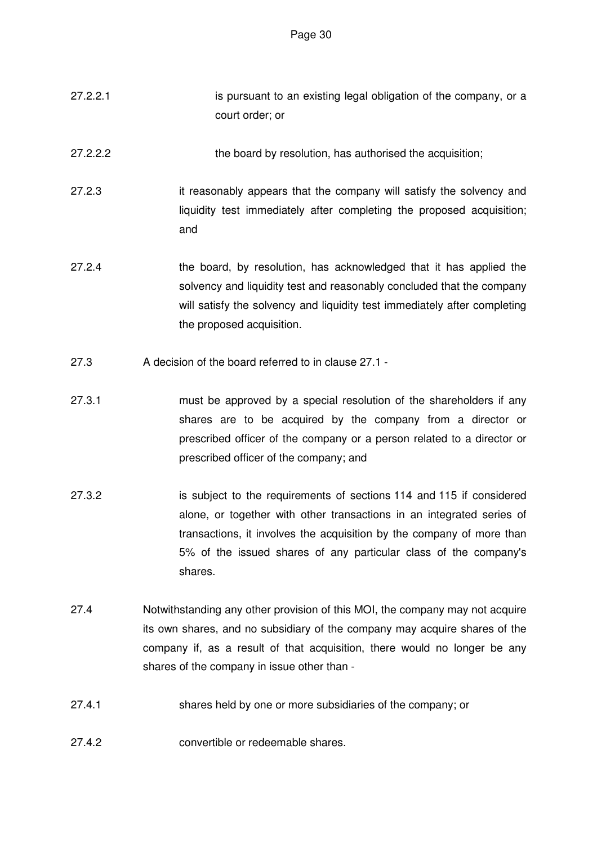- 27.2.2.1 is pursuant to an existing legal obligation of the company, or a court order; or
- 27.2.2.2 the board by resolution, has authorised the acquisition;
- 27.2.3 it reasonably appears that the company will satisfy the solvency and liquidity test immediately after completing the proposed acquisition; and
- 27.2.4 the board, by resolution, has acknowledged that it has applied the solvency and liquidity test and reasonably concluded that the company will satisfy the solvency and liquidity test immediately after completing the proposed acquisition.
- 27.3 A decision of the board referred to in clause 27.1 -
- 27.3.1 must be approved by a special resolution of the shareholders if any shares are to be acquired by the company from a director or prescribed officer of the company or a person related to a director or prescribed officer of the company; and
- 27.3.2 is subject to the requirements of sections 114 and 115 if considered alone, or together with other transactions in an integrated series of transactions, it involves the acquisition by the company of more than 5% of the issued shares of any particular class of the company's shares.
- 27.4 Notwithstanding any other provision of this MOI, the company may not acquire its own shares, and no subsidiary of the company may acquire shares of the company if, as a result of that acquisition, there would no longer be any shares of the company in issue other than -
- 27.4.1 shares held by one or more subsidiaries of the company; or
- 27.4.2 convertible or redeemable shares.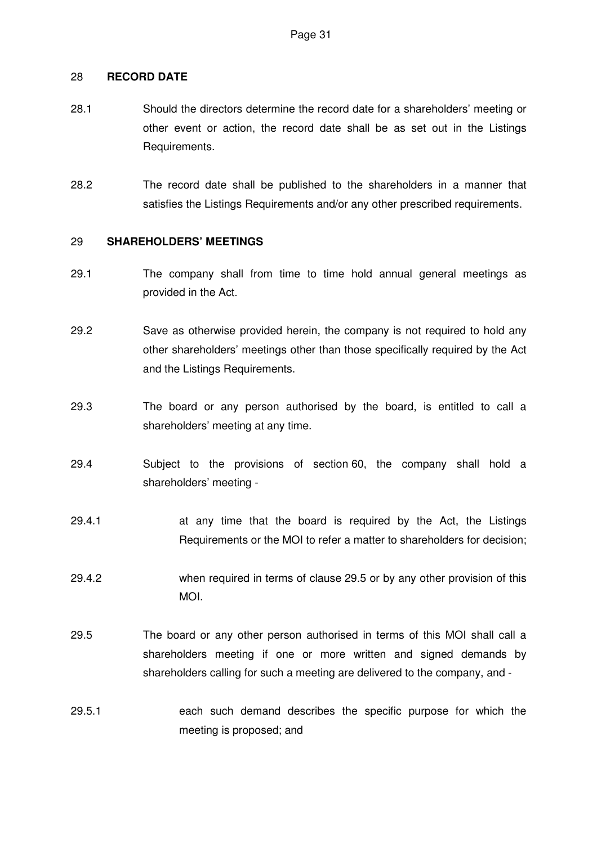#### 28 **RECORD DATE**

- 28.1 Should the directors determine the record date for a shareholders' meeting or other event or action, the record date shall be as set out in the Listings Requirements.
- 28.2 The record date shall be published to the shareholders in a manner that satisfies the Listings Requirements and/or any other prescribed requirements.

#### 29 **SHAREHOLDERS' MEETINGS**

- 29.1 The company shall from time to time hold annual general meetings as provided in the Act.
- 29.2 Save as otherwise provided herein, the company is not required to hold any other shareholders' meetings other than those specifically required by the Act and the Listings Requirements.
- 29.3 The board or any person authorised by the board, is entitled to call a shareholders' meeting at any time.
- 29.4 Subject to the provisions of section 60, the company shall hold a shareholders' meeting -
- 29.4.1 at any time that the board is required by the Act, the Listings Requirements or the MOI to refer a matter to shareholders for decision;
- 29.4.2 when required in terms of clause 29.5 or by any other provision of this MOI.
- 29.5 The board or any other person authorised in terms of this MOI shall call a shareholders meeting if one or more written and signed demands by shareholders calling for such a meeting are delivered to the company, and -
- 29.5.1 each such demand describes the specific purpose for which the meeting is proposed; and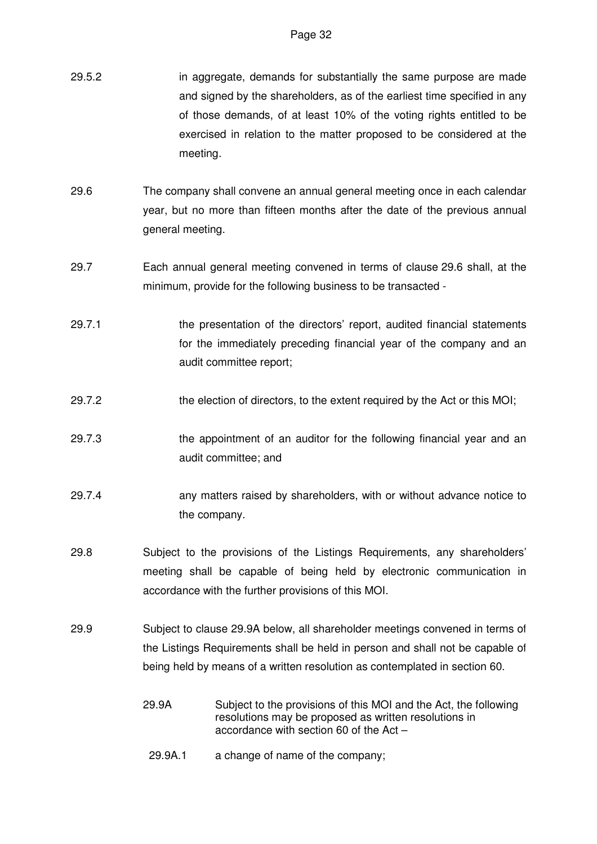- 29.5.2 in aggregate, demands for substantially the same purpose are made and signed by the shareholders, as of the earliest time specified in any of those demands, of at least 10% of the voting rights entitled to be exercised in relation to the matter proposed to be considered at the meeting.
- 29.6 The company shall convene an annual general meeting once in each calendar year, but no more than fifteen months after the date of the previous annual general meeting.
- 29.7 Each annual general meeting convened in terms of clause 29.6 shall, at the minimum, provide for the following business to be transacted -
- 29.7.1 the presentation of the directors' report, audited financial statements for the immediately preceding financial year of the company and an audit committee report;
- 29.7.2 the election of directors, to the extent required by the Act or this MOI;
- 29.7.3 the appointment of an auditor for the following financial year and an audit committee; and
- 29.7.4 any matters raised by shareholders, with or without advance notice to the company.
- 29.8 Subject to the provisions of the Listings Requirements, any shareholders' meeting shall be capable of being held by electronic communication in accordance with the further provisions of this MOI.
- 29.9 Subject to clause 29.9A below, all shareholder meetings convened in terms of the Listings Requirements shall be held in person and shall not be capable of being held by means of a written resolution as contemplated in section 60.
	- 29.9A Subject to the provisions of this MOI and the Act, the following resolutions may be proposed as written resolutions in accordance with section 60 of the Act –
	- 29.9A.1 a change of name of the company;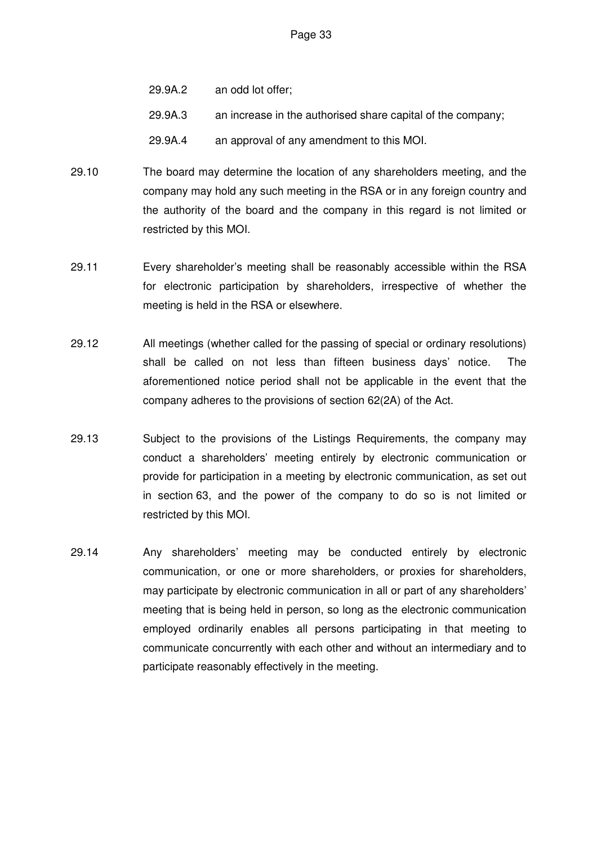- 29.9A.2 an odd lot offer;
- 29.9A.3 an increase in the authorised share capital of the company;
- 29.9A.4 an approval of any amendment to this MOI.
- 29.10 The board may determine the location of any shareholders meeting, and the company may hold any such meeting in the RSA or in any foreign country and the authority of the board and the company in this regard is not limited or restricted by this MOI.
- 29.11 Every shareholder's meeting shall be reasonably accessible within the RSA for electronic participation by shareholders, irrespective of whether the meeting is held in the RSA or elsewhere.
- 29.12 All meetings (whether called for the passing of special or ordinary resolutions) shall be called on not less than fifteen business days' notice. The aforementioned notice period shall not be applicable in the event that the company adheres to the provisions of section 62(2A) of the Act.
- 29.13 Subject to the provisions of the Listings Requirements, the company may conduct a shareholders' meeting entirely by electronic communication or provide for participation in a meeting by electronic communication, as set out in section 63, and the power of the company to do so is not limited or restricted by this MOI.
- 29.14 Any shareholders' meeting may be conducted entirely by electronic communication, or one or more shareholders, or proxies for shareholders, may participate by electronic communication in all or part of any shareholders' meeting that is being held in person, so long as the electronic communication employed ordinarily enables all persons participating in that meeting to communicate concurrently with each other and without an intermediary and to participate reasonably effectively in the meeting.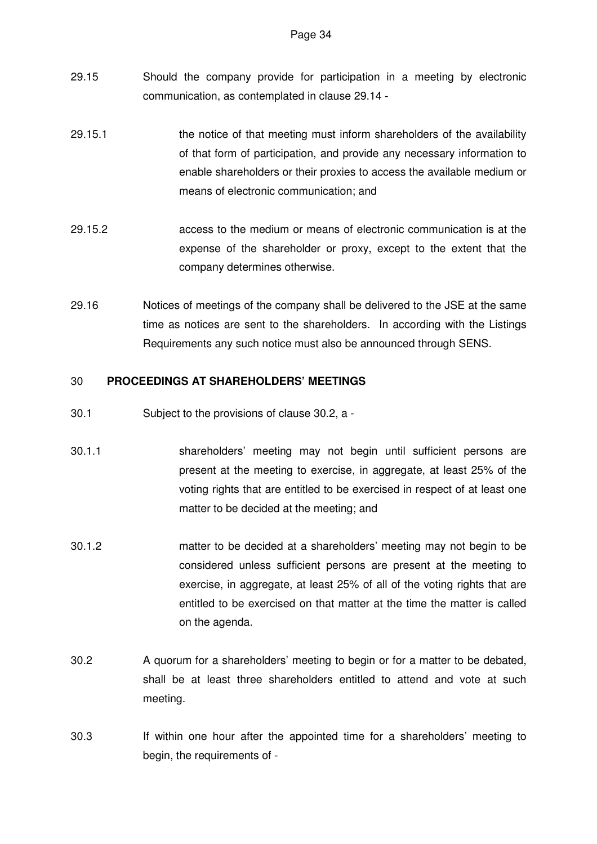- 29.15 Should the company provide for participation in a meeting by electronic communication, as contemplated in clause 29.14 -
- 29.15.1 the notice of that meeting must inform shareholders of the availability of that form of participation, and provide any necessary information to enable shareholders or their proxies to access the available medium or means of electronic communication; and
- 29.15.2 access to the medium or means of electronic communication is at the expense of the shareholder or proxy, except to the extent that the company determines otherwise.
- 29.16 Notices of meetings of the company shall be delivered to the JSE at the same time as notices are sent to the shareholders. In according with the Listings Requirements any such notice must also be announced through SENS.

# 30 **PROCEEDINGS AT SHAREHOLDERS' MEETINGS**

- 30.1 Subject to the provisions of clause 30.2, a -
- 30.1.1 shareholders' meeting may not begin until sufficient persons are present at the meeting to exercise, in aggregate, at least 25% of the voting rights that are entitled to be exercised in respect of at least one matter to be decided at the meeting; and
- 30.1.2 matter to be decided at a shareholders' meeting may not begin to be considered unless sufficient persons are present at the meeting to exercise, in aggregate, at least 25% of all of the voting rights that are entitled to be exercised on that matter at the time the matter is called on the agenda.
- 30.2 A quorum for a shareholders' meeting to begin or for a matter to be debated, shall be at least three shareholders entitled to attend and vote at such meeting.
- 30.3 If within one hour after the appointed time for a shareholders' meeting to begin, the requirements of -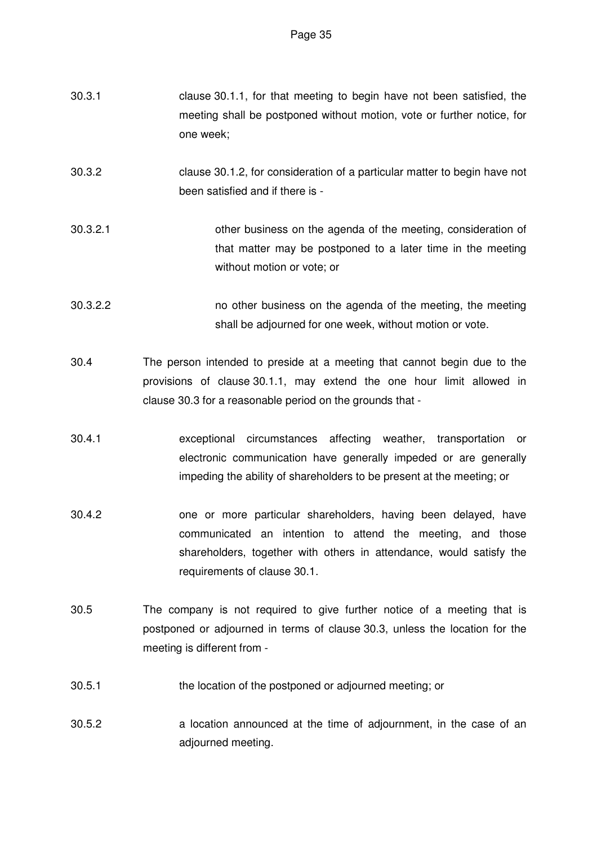| 30.3.1   | clause 30.1.1, for that meeting to begin have not been satisfied, the<br>meeting shall be postponed without motion, vote or further notice, for<br>one week;                                                   |
|----------|----------------------------------------------------------------------------------------------------------------------------------------------------------------------------------------------------------------|
| 30.3.2   | clause 30.1.2, for consideration of a particular matter to begin have not<br>been satisfied and if there is -                                                                                                  |
| 30.3.2.1 | other business on the agenda of the meeting, consideration of<br>that matter may be postponed to a later time in the meeting<br>without motion or vote; or                                                     |
| 30.3.2.2 | no other business on the agenda of the meeting, the meeting<br>shall be adjourned for one week, without motion or vote.                                                                                        |
| 30.4     | The person intended to preside at a meeting that cannot begin due to the<br>provisions of clause 30.1.1, may extend the one hour limit allowed in<br>clause 30.3 for a reasonable period on the grounds that - |

- 30.4.1 exceptional circumstances affecting weather, transportation or electronic communication have generally impeded or are generally impeding the ability of shareholders to be present at the meeting; or
- 30.4.2 one or more particular shareholders, having been delayed, have communicated an intention to attend the meeting, and those shareholders, together with others in attendance, would satisfy the requirements of clause 30.1.
- 30.5 The company is not required to give further notice of a meeting that is postponed or adjourned in terms of clause 30.3, unless the location for the meeting is different from -
- 30.5.1 the location of the postponed or adjourned meeting; or
- 30.5.2 a location announced at the time of adjournment, in the case of an adjourned meeting.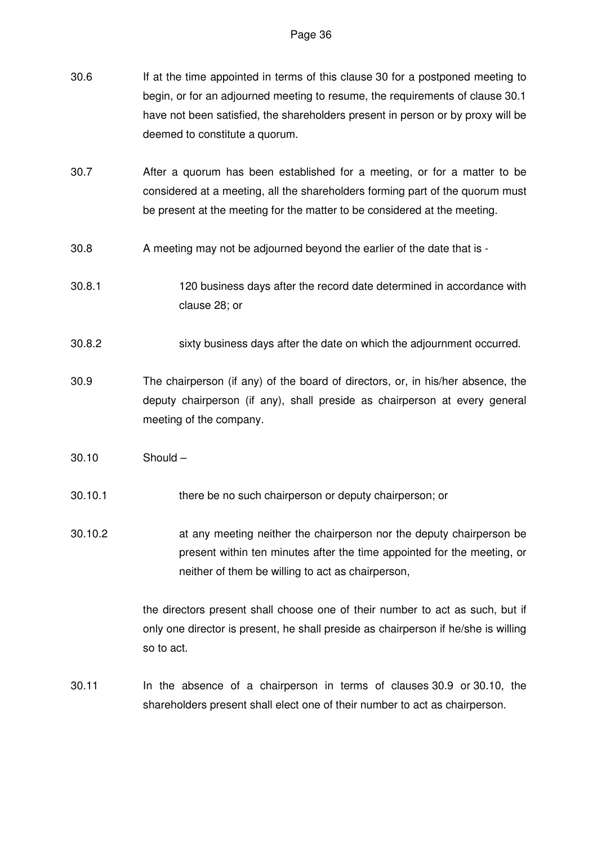- 30.6 If at the time appointed in terms of this clause 30 for a postponed meeting to begin, or for an adjourned meeting to resume, the requirements of clause 30.1 have not been satisfied, the shareholders present in person or by proxy will be deemed to constitute a quorum.
- 30.7 After a quorum has been established for a meeting, or for a matter to be considered at a meeting, all the shareholders forming part of the quorum must be present at the meeting for the matter to be considered at the meeting.
- 30.8 A meeting may not be adjourned beyond the earlier of the date that is -
- 30.8.1 120 business days after the record date determined in accordance with clause 28; or
- 30.8.2 sixty business days after the date on which the adjournment occurred.
- 30.9 The chairperson (if any) of the board of directors, or, in his/her absence, the deputy chairperson (if any), shall preside as chairperson at every general meeting of the company.
- 30.10 Should –
- 30.10.1 there be no such chairperson or deputy chairperson; or

30.10.2 at any meeting neither the chairperson nor the deputy chairperson be present within ten minutes after the time appointed for the meeting, or neither of them be willing to act as chairperson,

> the directors present shall choose one of their number to act as such, but if only one director is present, he shall preside as chairperson if he/she is willing so to act.

30.11 In the absence of a chairperson in terms of clauses 30.9 or 30.10, the shareholders present shall elect one of their number to act as chairperson.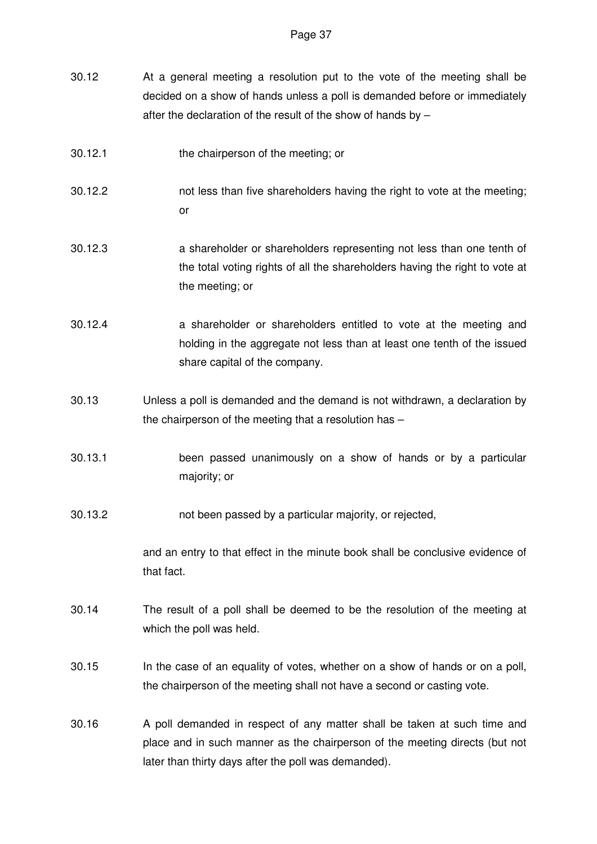- 30.12 At a general meeting a resolution put to the vote of the meeting shall be decided on a show of hands unless a poll is demanded before or immediately after the declaration of the result of the show of hands by –
- 30.12.1 the chairperson of the meeting; or
- 30.12.2 not less than five shareholders having the right to vote at the meeting; or
- 30.12.3 a shareholder or shareholders representing not less than one tenth of the total voting rights of all the shareholders having the right to vote at the meeting; or
- 30.12.4 a shareholder or shareholders entitled to vote at the meeting and holding in the aggregate not less than at least one tenth of the issued share capital of the company.
- 30.13 Unless a poll is demanded and the demand is not withdrawn, a declaration by the chairperson of the meeting that a resolution has –
- 30.13.1 been passed unanimously on a show of hands or by a particular majority; or

30.13.2 not been passed by a particular majority, or rejected,

and an entry to that effect in the minute book shall be conclusive evidence of that fact.

- 30.14 The result of a poll shall be deemed to be the resolution of the meeting at which the poll was held.
- 30.15 In the case of an equality of votes, whether on a show of hands or on a poll, the chairperson of the meeting shall not have a second or casting vote.
- 30.16 A poll demanded in respect of any matter shall be taken at such time and place and in such manner as the chairperson of the meeting directs (but not later than thirty days after the poll was demanded).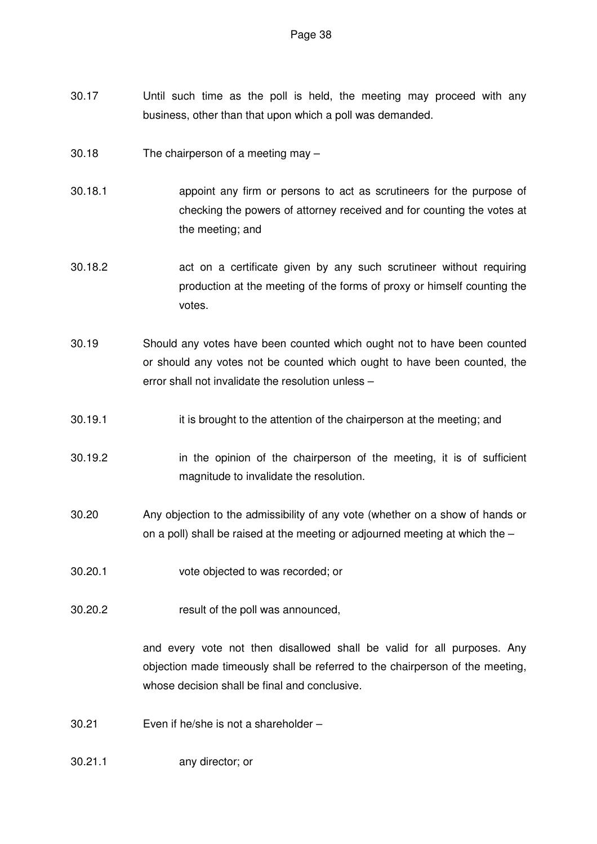- 30.17 Until such time as the poll is held, the meeting may proceed with any business, other than that upon which a poll was demanded.
- 30.18 The chairperson of a meeting may –
- 30.18.1 appoint any firm or persons to act as scrutineers for the purpose of checking the powers of attorney received and for counting the votes at the meeting; and
- 30.18.2 act on a certificate given by any such scrutineer without requiring production at the meeting of the forms of proxy or himself counting the votes.
- 30.19 Should any votes have been counted which ought not to have been counted or should any votes not be counted which ought to have been counted, the error shall not invalidate the resolution unless –
- 30.19.1 it is brought to the attention of the chairperson at the meeting; and
- 30.19.2 in the opinion of the chairperson of the meeting, it is of sufficient magnitude to invalidate the resolution.
- 30.20 Any objection to the admissibility of any vote (whether on a show of hands or on a poll) shall be raised at the meeting or adjourned meeting at which the –
- 30.20.1 vote objected to was recorded; or
- 30.20.2 result of the poll was announced,

and every vote not then disallowed shall be valid for all purposes. Any objection made timeously shall be referred to the chairperson of the meeting, whose decision shall be final and conclusive.

- 30.21 Even if he/she is not a shareholder –
- 30.21.1 any director; or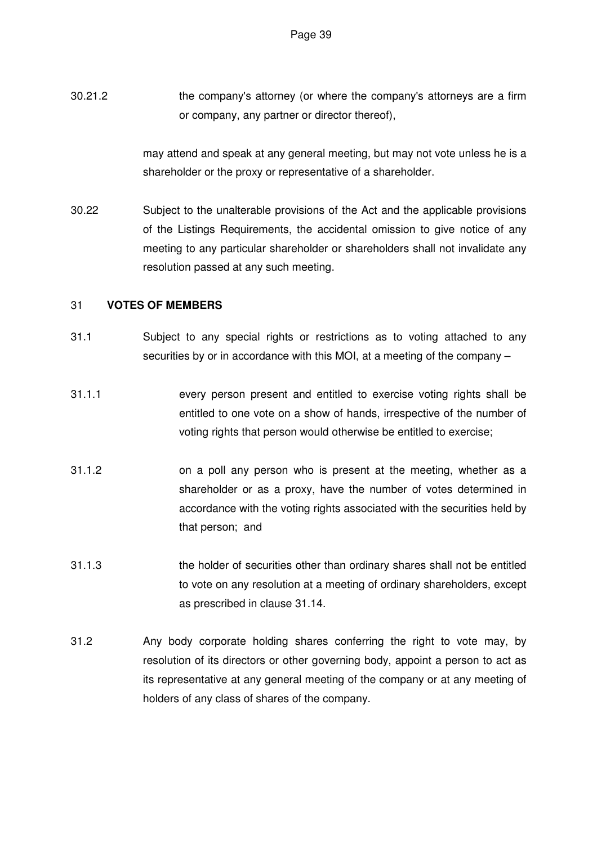30.21.2 the company's attorney (or where the company's attorneys are a firm or company, any partner or director thereof),

> may attend and speak at any general meeting, but may not vote unless he is a shareholder or the proxy or representative of a shareholder.

30.22 Subject to the unalterable provisions of the Act and the applicable provisions of the Listings Requirements, the accidental omission to give notice of any meeting to any particular shareholder or shareholders shall not invalidate any resolution passed at any such meeting.

### 31 **VOTES OF MEMBERS**

- 31.1 Subject to any special rights or restrictions as to voting attached to any securities by or in accordance with this MOI, at a meeting of the company –
- 31.1.1 every person present and entitled to exercise voting rights shall be entitled to one vote on a show of hands, irrespective of the number of voting rights that person would otherwise be entitled to exercise;
- 31.1.2 on a poll any person who is present at the meeting, whether as a shareholder or as a proxy, have the number of votes determined in accordance with the voting rights associated with the securities held by that person; and
- 31.1.3 the holder of securities other than ordinary shares shall not be entitled to vote on any resolution at a meeting of ordinary shareholders, except as prescribed in clause 31.14.
- 31.2 Any body corporate holding shares conferring the right to vote may, by resolution of its directors or other governing body, appoint a person to act as its representative at any general meeting of the company or at any meeting of holders of any class of shares of the company.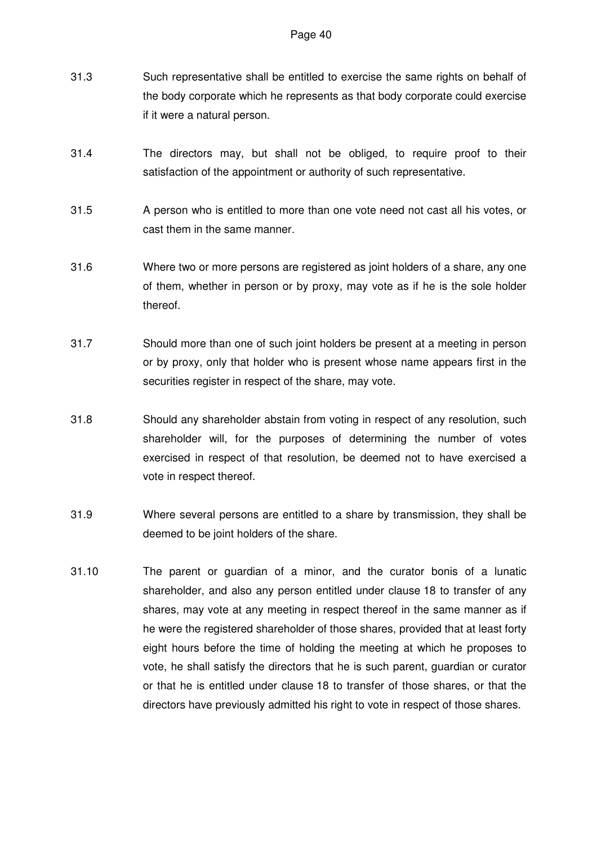- 31.3 Such representative shall be entitled to exercise the same rights on behalf of the body corporate which he represents as that body corporate could exercise if it were a natural person.
- 31.4 The directors may, but shall not be obliged, to require proof to their satisfaction of the appointment or authority of such representative.
- 31.5 A person who is entitled to more than one vote need not cast all his votes, or cast them in the same manner.
- 31.6 Where two or more persons are registered as joint holders of a share, any one of them, whether in person or by proxy, may vote as if he is the sole holder thereof.
- 31.7 Should more than one of such joint holders be present at a meeting in person or by proxy, only that holder who is present whose name appears first in the securities register in respect of the share, may vote.
- 31.8 Should any shareholder abstain from voting in respect of any resolution, such shareholder will, for the purposes of determining the number of votes exercised in respect of that resolution, be deemed not to have exercised a vote in respect thereof.
- 31.9 Where several persons are entitled to a share by transmission, they shall be deemed to be joint holders of the share.
- 31.10 The parent or guardian of a minor, and the curator bonis of a lunatic shareholder, and also any person entitled under clause 18 to transfer of any shares, may vote at any meeting in respect thereof in the same manner as if he were the registered shareholder of those shares, provided that at least forty eight hours before the time of holding the meeting at which he proposes to vote, he shall satisfy the directors that he is such parent, guardian or curator or that he is entitled under clause 18 to transfer of those shares, or that the directors have previously admitted his right to vote in respect of those shares.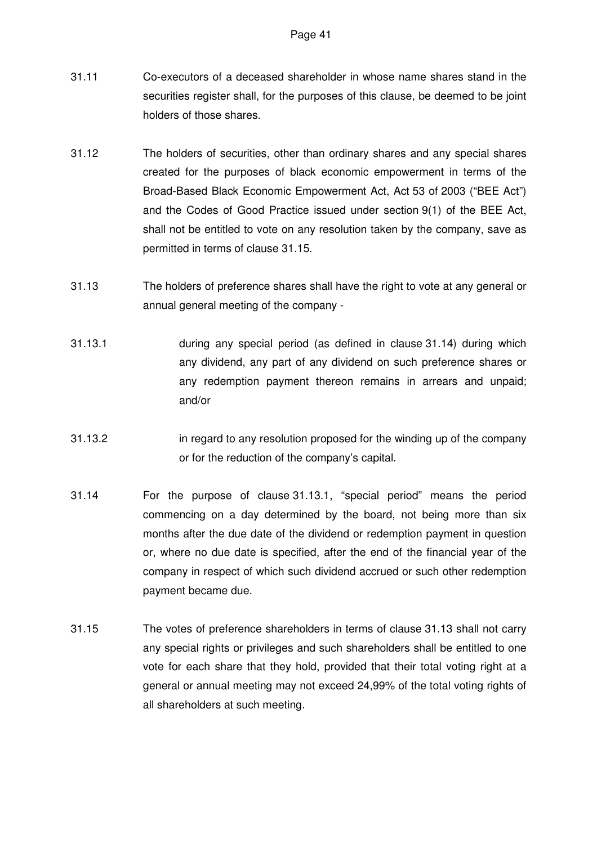- 31.11 Co-executors of a deceased shareholder in whose name shares stand in the securities register shall, for the purposes of this clause, be deemed to be joint holders of those shares.
- 31.12 The holders of securities, other than ordinary shares and any special shares created for the purposes of black economic empowerment in terms of the Broad-Based Black Economic Empowerment Act, Act 53 of 2003 ("BEE Act") and the Codes of Good Practice issued under section 9(1) of the BEE Act, shall not be entitled to vote on any resolution taken by the company, save as permitted in terms of clause 31.15.
- 31.13 The holders of preference shares shall have the right to vote at any general or annual general meeting of the company -
- 31.13.1 during any special period (as defined in clause 31.14) during which any dividend, any part of any dividend on such preference shares or any redemption payment thereon remains in arrears and unpaid; and/or
- 31.13.2 in regard to any resolution proposed for the winding up of the company or for the reduction of the company's capital.
- 31.14 For the purpose of clause 31.13.1, "special period" means the period commencing on a day determined by the board, not being more than six months after the due date of the dividend or redemption payment in question or, where no due date is specified, after the end of the financial year of the company in respect of which such dividend accrued or such other redemption payment became due.
- 31.15 The votes of preference shareholders in terms of clause 31.13 shall not carry any special rights or privileges and such shareholders shall be entitled to one vote for each share that they hold, provided that their total voting right at a general or annual meeting may not exceed 24,99% of the total voting rights of all shareholders at such meeting.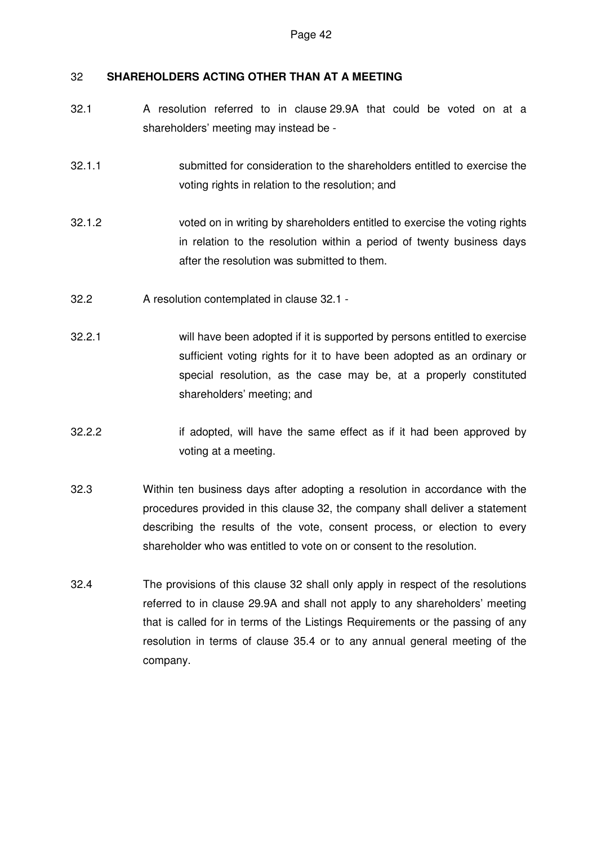# 32 **SHAREHOLDERS ACTING OTHER THAN AT A MEETING**

- 32.1 A resolution referred to in clause 29.9A that could be voted on at a shareholders' meeting may instead be -
- 32.1.1 submitted for consideration to the shareholders entitled to exercise the voting rights in relation to the resolution; and
- 32.1.2 voted on in writing by shareholders entitled to exercise the voting rights in relation to the resolution within a period of twenty business days after the resolution was submitted to them.
- 32.2 A resolution contemplated in clause 32.1 -
- 32.2.1 will have been adopted if it is supported by persons entitled to exercise sufficient voting rights for it to have been adopted as an ordinary or special resolution, as the case may be, at a properly constituted shareholders' meeting; and
- 32.2.2 if adopted, will have the same effect as if it had been approved by voting at a meeting.
- 32.3 Within ten business days after adopting a resolution in accordance with the procedures provided in this clause 32, the company shall deliver a statement describing the results of the vote, consent process, or election to every shareholder who was entitled to vote on or consent to the resolution.
- 32.4 The provisions of this clause 32 shall only apply in respect of the resolutions referred to in clause 29.9A and shall not apply to any shareholders' meeting that is called for in terms of the Listings Requirements or the passing of any resolution in terms of clause 35.4 or to any annual general meeting of the company.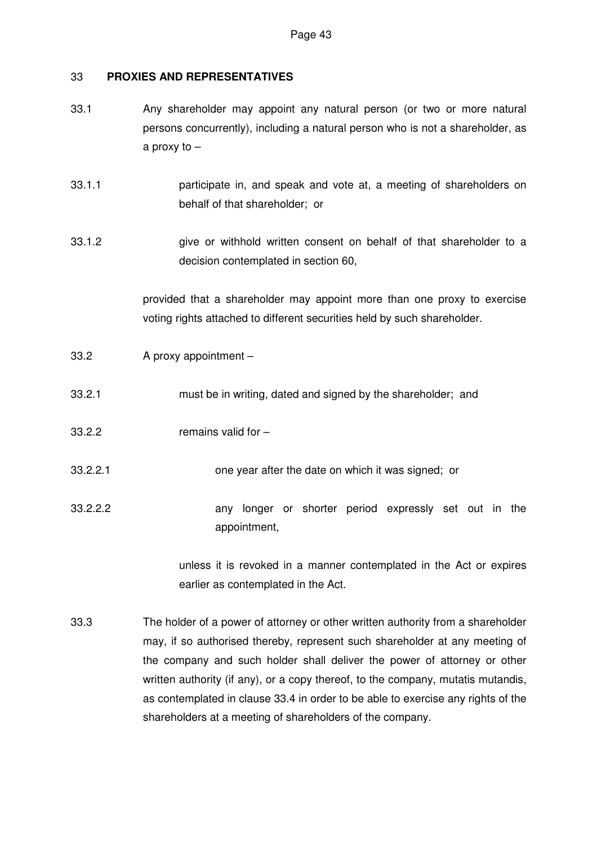## 33 **PROXIES AND REPRESENTATIVES**

- 33.1 Any shareholder may appoint any natural person (or two or more natural persons concurrently), including a natural person who is not a shareholder, as a proxy to –
- 33.1.1 participate in, and speak and vote at, a meeting of shareholders on behalf of that shareholder; or
- 33.1.2 give or withhold written consent on behalf of that shareholder to a decision contemplated in section 60,

provided that a shareholder may appoint more than one proxy to exercise voting rights attached to different securities held by such shareholder.

- 33.2 A proxy appointment –
- 33.2.1 must be in writing, dated and signed by the shareholder; and
- 33.2.2 remains valid for –
- 33.2.2.1 one year after the date on which it was signed; or
- 33.2.2.2 any longer or shorter period expressly set out in the appointment,

unless it is revoked in a manner contemplated in the Act or expires earlier as contemplated in the Act.

33.3 The holder of a power of attorney or other written authority from a shareholder may, if so authorised thereby, represent such shareholder at any meeting of the company and such holder shall deliver the power of attorney or other written authority (if any), or a copy thereof, to the company, mutatis mutandis, as contemplated in clause 33.4 in order to be able to exercise any rights of the shareholders at a meeting of shareholders of the company.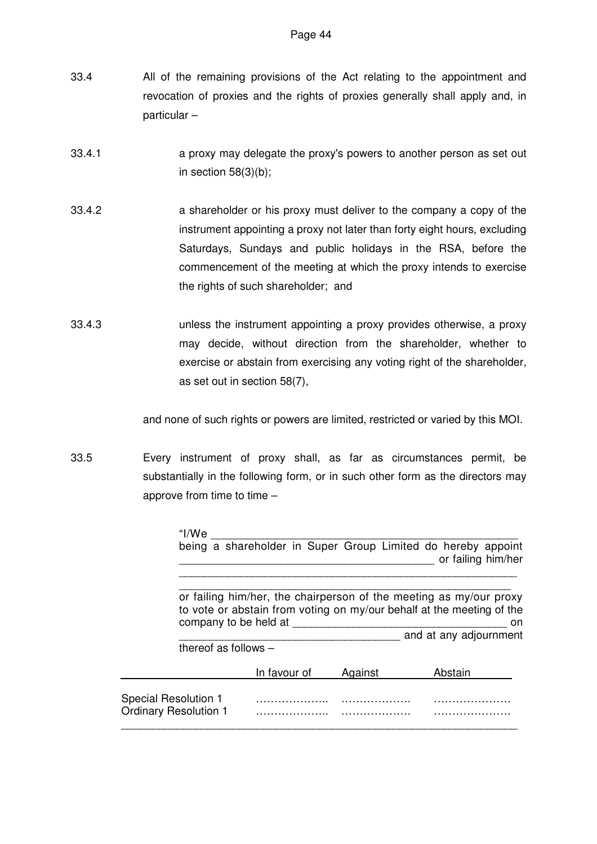- 33.4 All of the remaining provisions of the Act relating to the appointment and revocation of proxies and the rights of proxies generally shall apply and, in particular –
- 33.4.1 a proxy may delegate the proxy's powers to another person as set out in section 58(3)(b);
- 33.4.2 a shareholder or his proxy must deliver to the company a copy of the instrument appointing a proxy not later than forty eight hours, excluding Saturdays, Sundays and public holidays in the RSA, before the commencement of the meeting at which the proxy intends to exercise the rights of such shareholder; and
- 33.4.3 unless the instrument appointing a proxy provides otherwise, a proxy may decide, without direction from the shareholder, whether to exercise or abstain from exercising any voting right of the shareholder, as set out in section 58(7),

and none of such rights or powers are limited, restricted or varied by this MOI.

33.5 Every instrument of proxy shall, as far as circumstances permit, be substantially in the following form, or in such other form as the directors may approve from time to time  $-$ 

| "I/We                                                |                        |         | being a shareholder in Super Group Limited do hereby appoint<br>or failing him/her                                                                                          |
|------------------------------------------------------|------------------------|---------|-----------------------------------------------------------------------------------------------------------------------------------------------------------------------------|
| company to be held at                                |                        |         | or failing him/her, the chairperson of the meeting as my/our proxy<br>to vote or abstain from voting on my/our behalf at the meeting of the<br>on<br>and at any adjournment |
|                                                      | thereof as follows $-$ |         |                                                                                                                                                                             |
|                                                      | In favour of           | Against | Abstain                                                                                                                                                                     |
| Special Resolution 1<br><b>Ordinary Resolution 1</b> |                        |         |                                                                                                                                                                             |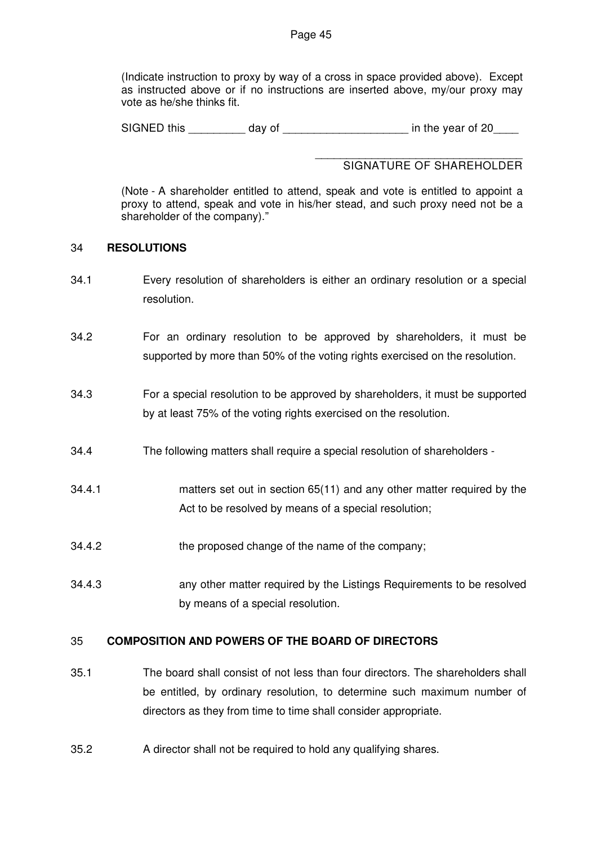(Indicate instruction to proxy by way of a cross in space provided above). Except as instructed above or if no instructions are inserted above, my/our proxy may vote as he/she thinks fit.

SIGNED this day of the vear of 20

#### \_\_\_\_\_\_\_\_\_\_\_\_\_\_\_\_\_\_\_\_\_\_\_\_\_\_\_\_\_\_\_\_\_ SIGNATURE OF SHAREHOLDER

(Note - A shareholder entitled to attend, speak and vote is entitled to appoint a proxy to attend, speak and vote in his/her stead, and such proxy need not be a shareholder of the company)."

## 34 **RESOLUTIONS**

- 34.1 Every resolution of shareholders is either an ordinary resolution or a special resolution.
- 34.2 For an ordinary resolution to be approved by shareholders, it must be supported by more than 50% of the voting rights exercised on the resolution.
- 34.3 For a special resolution to be approved by shareholders, it must be supported by at least 75% of the voting rights exercised on the resolution.
- 34.4 The following matters shall require a special resolution of shareholders -
- 34.4.1 matters set out in section 65(11) and any other matter required by the Act to be resolved by means of a special resolution;
- 34.4.2 the proposed change of the name of the company;
- 34.4.3 any other matter required by the Listings Requirements to be resolved by means of a special resolution.

# 35 **COMPOSITION AND POWERS OF THE BOARD OF DIRECTORS**

- 35.1 The board shall consist of not less than four directors. The shareholders shall be entitled, by ordinary resolution, to determine such maximum number of directors as they from time to time shall consider appropriate.
- 35.2 A director shall not be required to hold any qualifying shares.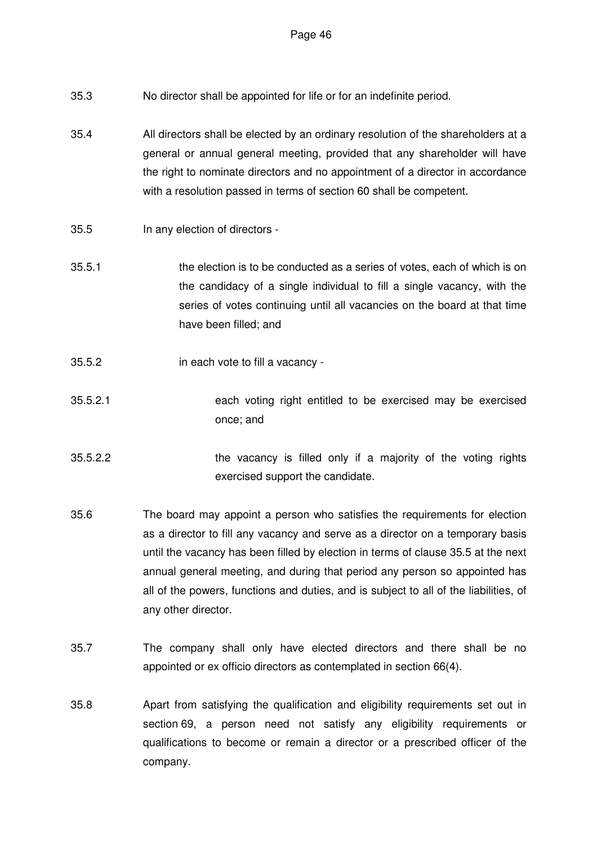- 35.3 No director shall be appointed for life or for an indefinite period.
- 35.4 All directors shall be elected by an ordinary resolution of the shareholders at a general or annual general meeting, provided that any shareholder will have the right to nominate directors and no appointment of a director in accordance with a resolution passed in terms of section 60 shall be competent.
- 35.5 In any election of directors -
- 35.5.1 the election is to be conducted as a series of votes, each of which is on the candidacy of a single individual to fill a single vacancy, with the series of votes continuing until all vacancies on the board at that time have been filled; and
- 35.5.2 in each vote to fill a vacancy -
- 35.5.2.1 each voting right entitled to be exercised may be exercised once; and
- 35.5.2.2 the vacancy is filled only if a majority of the voting rights exercised support the candidate.
- 35.6 The board may appoint a person who satisfies the requirements for election as a director to fill any vacancy and serve as a director on a temporary basis until the vacancy has been filled by election in terms of clause 35.5 at the next annual general meeting, and during that period any person so appointed has all of the powers, functions and duties, and is subject to all of the liabilities, of any other director.
- 35.7 The company shall only have elected directors and there shall be no appointed or ex officio directors as contemplated in section 66(4).
- 35.8 Apart from satisfying the qualification and eligibility requirements set out in section 69, a person need not satisfy any eligibility requirements or qualifications to become or remain a director or a prescribed officer of the company.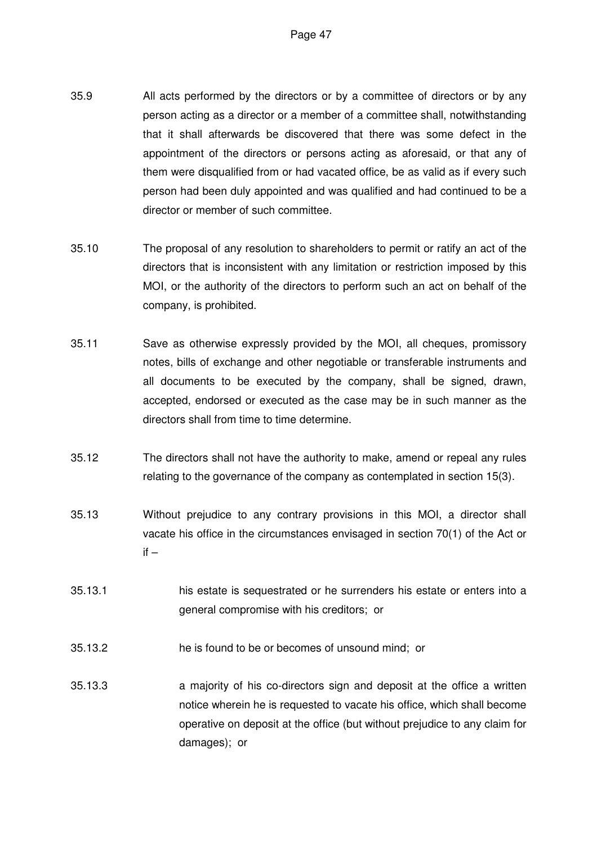- 35.9 All acts performed by the directors or by a committee of directors or by any person acting as a director or a member of a committee shall, notwithstanding that it shall afterwards be discovered that there was some defect in the appointment of the directors or persons acting as aforesaid, or that any of them were disqualified from or had vacated office, be as valid as if every such person had been duly appointed and was qualified and had continued to be a director or member of such committee.
- 35.10 The proposal of any resolution to shareholders to permit or ratify an act of the directors that is inconsistent with any limitation or restriction imposed by this MOI, or the authority of the directors to perform such an act on behalf of the company, is prohibited.
- 35.11 Save as otherwise expressly provided by the MOI, all cheques, promissory notes, bills of exchange and other negotiable or transferable instruments and all documents to be executed by the company, shall be signed, drawn, accepted, endorsed or executed as the case may be in such manner as the directors shall from time to time determine.
- 35.12 The directors shall not have the authority to make, amend or repeal any rules relating to the governance of the company as contemplated in section 15(3).
- 35.13 Without prejudice to any contrary provisions in this MOI, a director shall vacate his office in the circumstances envisaged in section 70(1) of the Act or  $if -$
- 35.13.1 his estate is sequestrated or he surrenders his estate or enters into a general compromise with his creditors; or
- 35.13.2 he is found to be or becomes of unsound mind; or
- 35.13.3 a majority of his co-directors sign and deposit at the office a written notice wherein he is requested to vacate his office, which shall become operative on deposit at the office (but without prejudice to any claim for damages); or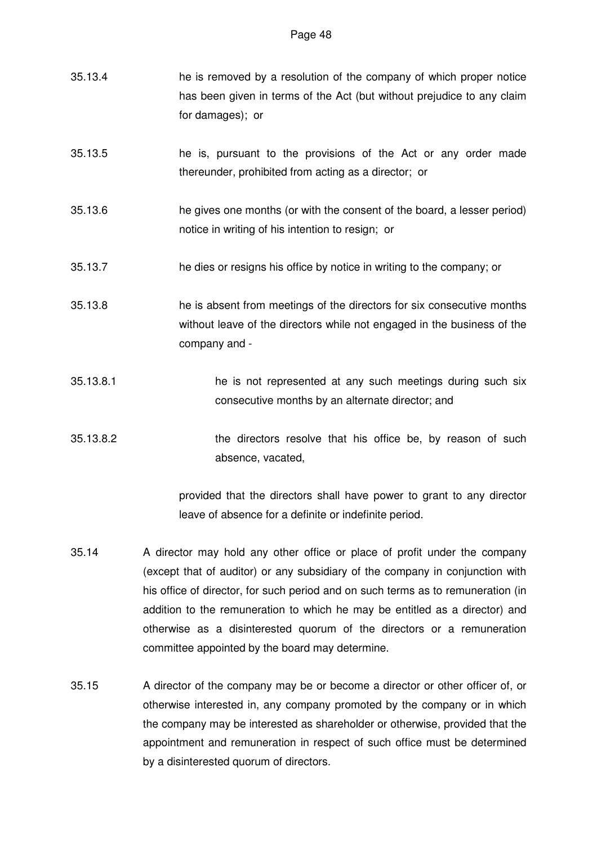- 35.13.4 he is removed by a resolution of the company of which proper notice has been given in terms of the Act (but without prejudice to any claim for damages); or
- 35.13.5 he is, pursuant to the provisions of the Act or any order made thereunder, prohibited from acting as a director; or
- 35.13.6 he gives one months (or with the consent of the board, a lesser period) notice in writing of his intention to resign; or
- 35.13.7 he dies or resigns his office by notice in writing to the company; or
- 35.13.8 he is absent from meetings of the directors for six consecutive months without leave of the directors while not engaged in the business of the company and -
- 35.13.8.1 he is not represented at any such meetings during such six consecutive months by an alternate director; and
- 35.13.8.2 the directors resolve that his office be, by reason of such absence, vacated,

provided that the directors shall have power to grant to any director leave of absence for a definite or indefinite period.

- 35.14 A director may hold any other office or place of profit under the company (except that of auditor) or any subsidiary of the company in conjunction with his office of director, for such period and on such terms as to remuneration (in addition to the remuneration to which he may be entitled as a director) and otherwise as a disinterested quorum of the directors or a remuneration committee appointed by the board may determine.
- 35.15 A director of the company may be or become a director or other officer of, or otherwise interested in, any company promoted by the company or in which the company may be interested as shareholder or otherwise, provided that the appointment and remuneration in respect of such office must be determined by a disinterested quorum of directors.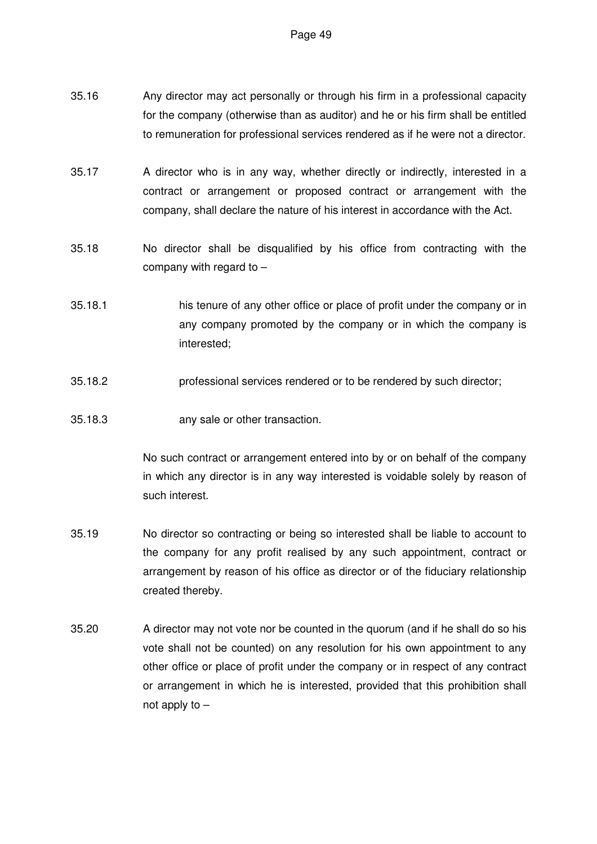- 35.16 Any director may act personally or through his firm in a professional capacity for the company (otherwise than as auditor) and he or his firm shall be entitled to remuneration for professional services rendered as if he were not a director.
- 35.17 A director who is in any way, whether directly or indirectly, interested in a contract or arrangement or proposed contract or arrangement with the company, shall declare the nature of his interest in accordance with the Act.
- 35.18 No director shall be disqualified by his office from contracting with the company with regard to –
- 35.18.1 his tenure of any other office or place of profit under the company or in any company promoted by the company or in which the company is interested;
- 35.18.2 professional services rendered or to be rendered by such director;
- 35.18.3 any sale or other transaction.

No such contract or arrangement entered into by or on behalf of the company in which any director is in any way interested is voidable solely by reason of such interest.

- 35.19 No director so contracting or being so interested shall be liable to account to the company for any profit realised by any such appointment, contract or arrangement by reason of his office as director or of the fiduciary relationship created thereby.
- 35.20 A director may not vote nor be counted in the quorum (and if he shall do so his vote shall not be counted) on any resolution for his own appointment to any other office or place of profit under the company or in respect of any contract or arrangement in which he is interested, provided that this prohibition shall not apply to –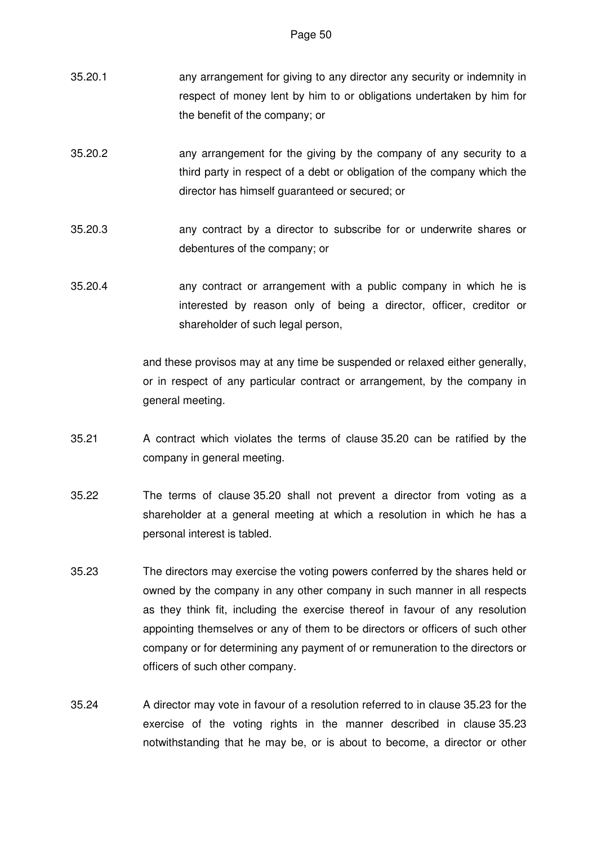- 35.20.1 any arrangement for giving to any director any security or indemnity in respect of money lent by him to or obligations undertaken by him for the benefit of the company; or
- 35.20.2 any arrangement for the giving by the company of any security to a third party in respect of a debt or obligation of the company which the director has himself guaranteed or secured; or
- 35.20.3 any contract by a director to subscribe for or underwrite shares or debentures of the company; or
- 35.20.4 any contract or arrangement with a public company in which he is interested by reason only of being a director, officer, creditor or shareholder of such legal person,

and these provisos may at any time be suspended or relaxed either generally, or in respect of any particular contract or arrangement, by the company in general meeting.

- 35.21 A contract which violates the terms of clause 35.20 can be ratified by the company in general meeting.
- 35.22 The terms of clause 35.20 shall not prevent a director from voting as a shareholder at a general meeting at which a resolution in which he has a personal interest is tabled.
- 35.23 The directors may exercise the voting powers conferred by the shares held or owned by the company in any other company in such manner in all respects as they think fit, including the exercise thereof in favour of any resolution appointing themselves or any of them to be directors or officers of such other company or for determining any payment of or remuneration to the directors or officers of such other company.
- 35.24 A director may vote in favour of a resolution referred to in clause 35.23 for the exercise of the voting rights in the manner described in clause 35.23 notwithstanding that he may be, or is about to become, a director or other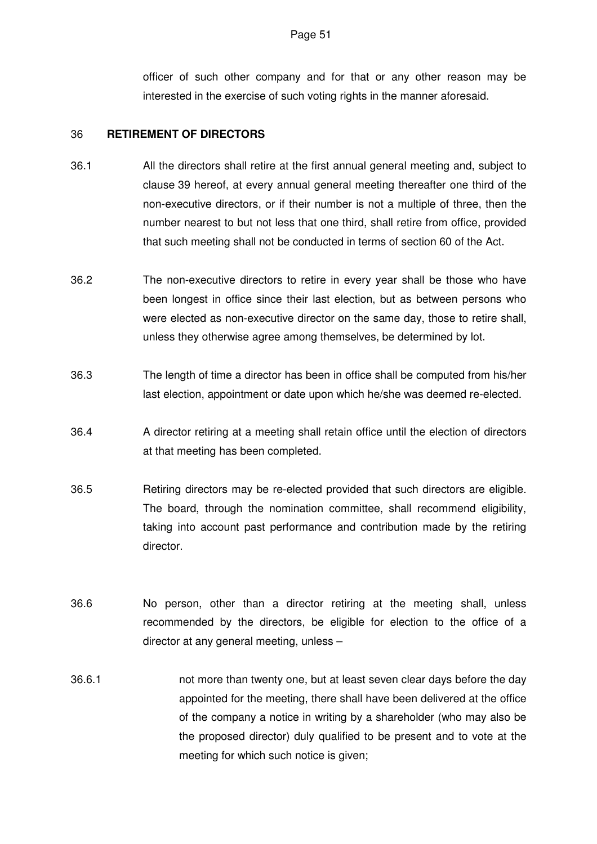officer of such other company and for that or any other reason may be interested in the exercise of such voting rights in the manner aforesaid.

## 36 **RETIREMENT OF DIRECTORS**

- 36.1 All the directors shall retire at the first annual general meeting and, subject to clause 39 hereof, at every annual general meeting thereafter one third of the non-executive directors, or if their number is not a multiple of three, then the number nearest to but not less that one third, shall retire from office, provided that such meeting shall not be conducted in terms of section 60 of the Act.
- 36.2 The non-executive directors to retire in every year shall be those who have been longest in office since their last election, but as between persons who were elected as non-executive director on the same day, those to retire shall, unless they otherwise agree among themselves, be determined by lot.
- 36.3 The length of time a director has been in office shall be computed from his/her last election, appointment or date upon which he/she was deemed re-elected.
- 36.4 A director retiring at a meeting shall retain office until the election of directors at that meeting has been completed.
- 36.5 Retiring directors may be re-elected provided that such directors are eligible. The board, through the nomination committee, shall recommend eligibility, taking into account past performance and contribution made by the retiring director.
- 36.6 No person, other than a director retiring at the meeting shall, unless recommended by the directors, be eligible for election to the office of a director at any general meeting, unless –
- 36.6.1 not more than twenty one, but at least seven clear days before the day appointed for the meeting, there shall have been delivered at the office of the company a notice in writing by a shareholder (who may also be the proposed director) duly qualified to be present and to vote at the meeting for which such notice is given;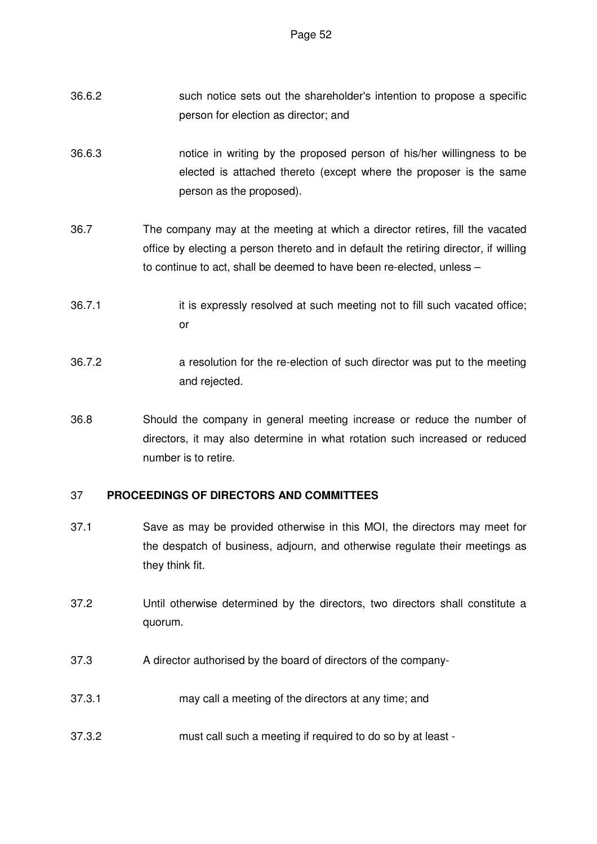- 36.6.2 such notice sets out the shareholder's intention to propose a specific person for election as director; and
- 36.6.3 notice in writing by the proposed person of his/her willingness to be elected is attached thereto (except where the proposer is the same person as the proposed).
- 36.7 The company may at the meeting at which a director retires, fill the vacated office by electing a person thereto and in default the retiring director, if willing to continue to act, shall be deemed to have been re-elected, unless –
- 36.7.1 it is expressly resolved at such meeting not to fill such vacated office; or
- 36.7.2 a resolution for the re-election of such director was put to the meeting and rejected.
- 36.8 Should the company in general meeting increase or reduce the number of directors, it may also determine in what rotation such increased or reduced number is to retire.

# 37 **PROCEEDINGS OF DIRECTORS AND COMMITTEES**

- 37.1 Save as may be provided otherwise in this MOI, the directors may meet for the despatch of business, adjourn, and otherwise regulate their meetings as they think fit.
- 37.2 Until otherwise determined by the directors, two directors shall constitute a quorum.
- 37.3 A director authorised by the board of directors of the company-
- 37.3.1 may call a meeting of the directors at any time; and
- 37.3.2 must call such a meeting if required to do so by at least -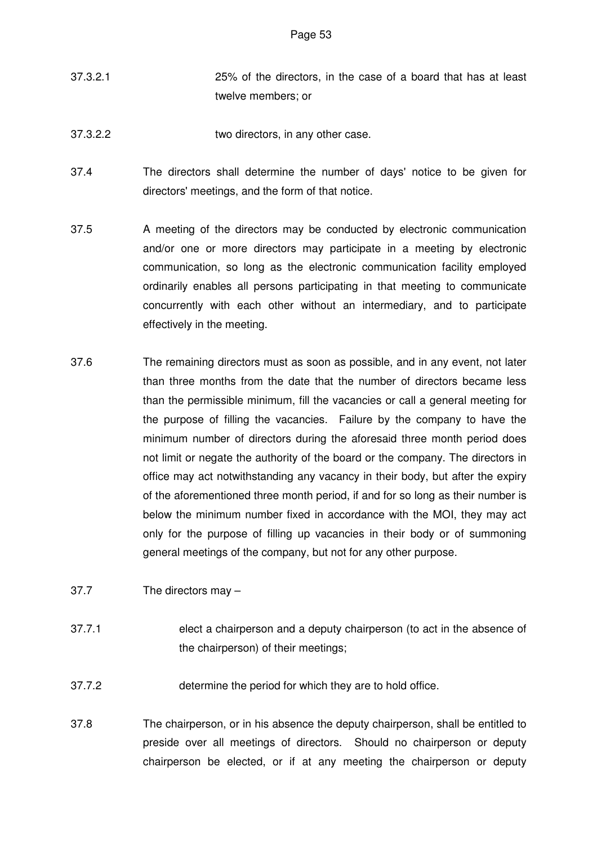- 37.3.2.1 25% of the directors, in the case of a board that has at least twelve members; or
- 37.3.2.2 two directors, in any other case.
- 37.4 The directors shall determine the number of days' notice to be given for directors' meetings, and the form of that notice.
- 37.5 A meeting of the directors may be conducted by electronic communication and/or one or more directors may participate in a meeting by electronic communication, so long as the electronic communication facility employed ordinarily enables all persons participating in that meeting to communicate concurrently with each other without an intermediary, and to participate effectively in the meeting.
- 37.6 The remaining directors must as soon as possible, and in any event, not later than three months from the date that the number of directors became less than the permissible minimum, fill the vacancies or call a general meeting for the purpose of filling the vacancies. Failure by the company to have the minimum number of directors during the aforesaid three month period does not limit or negate the authority of the board or the company. The directors in office may act notwithstanding any vacancy in their body, but after the expiry of the aforementioned three month period, if and for so long as their number is below the minimum number fixed in accordance with the MOI, they may act only for the purpose of filling up vacancies in their body or of summoning general meetings of the company, but not for any other purpose.
- 37.7 The directors may –
- 37.7.1 elect a chairperson and a deputy chairperson (to act in the absence of the chairperson) of their meetings;
- 37.7.2 determine the period for which they are to hold office.
- 37.8 The chairperson, or in his absence the deputy chairperson, shall be entitled to preside over all meetings of directors. Should no chairperson or deputy chairperson be elected, or if at any meeting the chairperson or deputy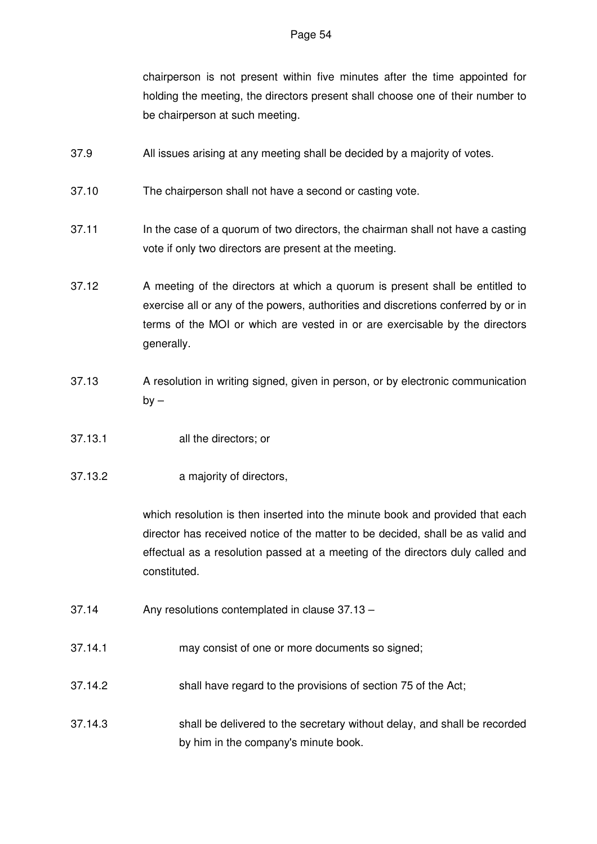chairperson is not present within five minutes after the time appointed for holding the meeting, the directors present shall choose one of their number to be chairperson at such meeting.

- 37.9 All issues arising at any meeting shall be decided by a majority of votes.
- 37.10 The chairperson shall not have a second or casting vote.
- 37.11 In the case of a quorum of two directors, the chairman shall not have a casting vote if only two directors are present at the meeting.
- 37.12 A meeting of the directors at which a quorum is present shall be entitled to exercise all or any of the powers, authorities and discretions conferred by or in terms of the MOI or which are vested in or are exercisable by the directors generally.
- 37.13 A resolution in writing signed, given in person, or by electronic communication  $bv -$
- 37.13.1 all the directors; or
- 37.13.2 a majority of directors,

which resolution is then inserted into the minute book and provided that each director has received notice of the matter to be decided, shall be as valid and effectual as a resolution passed at a meeting of the directors duly called and constituted.

- 37.14 Any resolutions contemplated in clause 37.13 –
- 37.14.1 may consist of one or more documents so signed;
- 37.14.2 shall have regard to the provisions of section 75 of the Act;
- 37.14.3 shall be delivered to the secretary without delay, and shall be recorded by him in the company's minute book.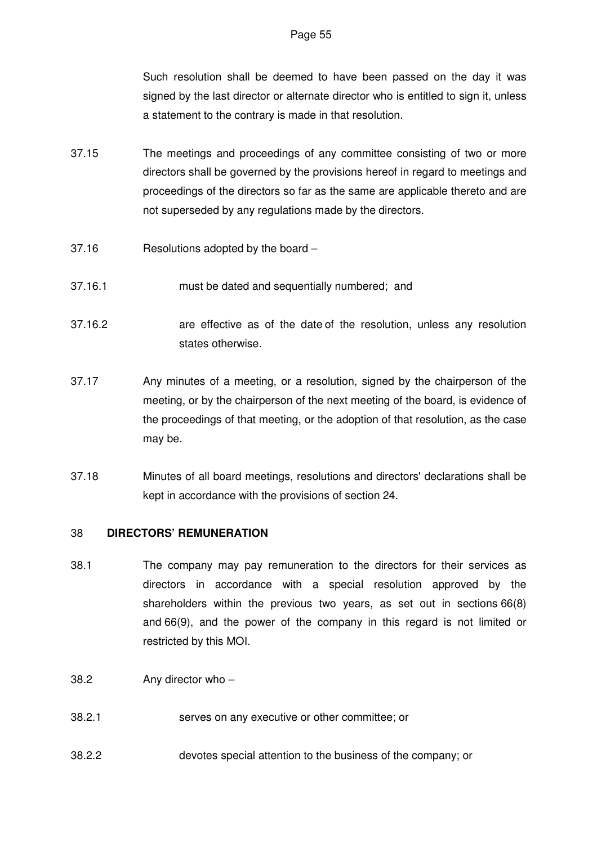Such resolution shall be deemed to have been passed on the day it was signed by the last director or alternate director who is entitled to sign it, unless a statement to the contrary is made in that resolution.

- 37.15 The meetings and proceedings of any committee consisting of two or more directors shall be governed by the provisions hereof in regard to meetings and proceedings of the directors so far as the same are applicable thereto and are not superseded by any regulations made by the directors.
- 37.16 Resolutions adopted by the board –
- 37.16.1 must be dated and sequentially numbered; and
- 37.16.2 are effective as of the date-of the resolution, unless any resolution states otherwise.
- 37.17 Any minutes of a meeting, or a resolution, signed by the chairperson of the meeting, or by the chairperson of the next meeting of the board, is evidence of the proceedings of that meeting, or the adoption of that resolution, as the case may be.
- 37.18 Minutes of all board meetings, resolutions and directors' declarations shall be kept in accordance with the provisions of section 24.

# 38 **DIRECTORS' REMUNERATION**

- 38.1 The company may pay remuneration to the directors for their services as directors in accordance with a special resolution approved by the shareholders within the previous two years, as set out in sections 66(8) and 66(9), and the power of the company in this regard is not limited or restricted by this MOI.
- 38.2 Any director who –
- 38.2.1 serves on any executive or other committee; or
- 38.2.2 devotes special attention to the business of the company; or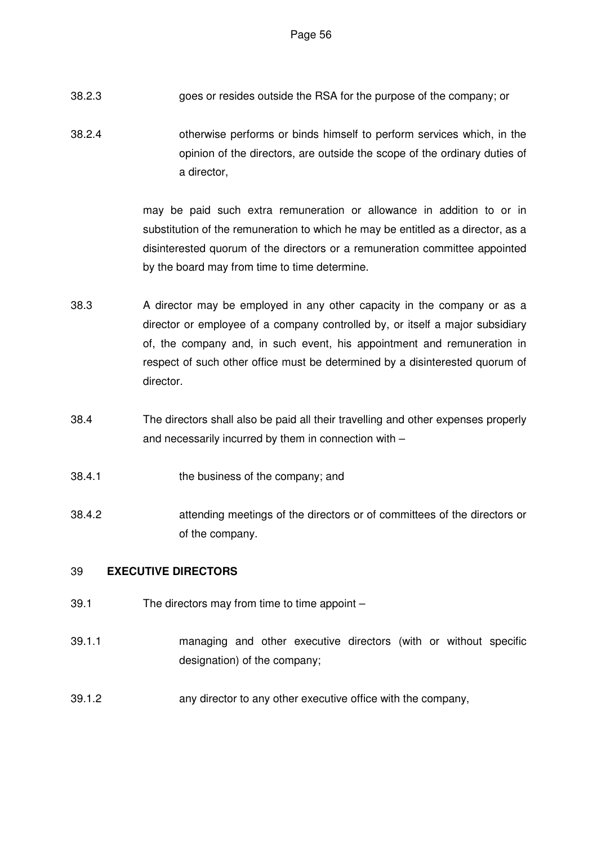- 38.2.3 goes or resides outside the RSA for the purpose of the company; or
- 38.2.4 otherwise performs or binds himself to perform services which, in the opinion of the directors, are outside the scope of the ordinary duties of a director,

may be paid such extra remuneration or allowance in addition to or in substitution of the remuneration to which he may be entitled as a director, as a disinterested quorum of the directors or a remuneration committee appointed by the board may from time to time determine.

- 38.3 A director may be employed in any other capacity in the company or as a director or employee of a company controlled by, or itself a major subsidiary of, the company and, in such event, his appointment and remuneration in respect of such other office must be determined by a disinterested quorum of director.
- 38.4 The directors shall also be paid all their travelling and other expenses properly and necessarily incurred by them in connection with –
- 38.4.1 the business of the company; and
- 38.4.2 attending meetings of the directors or of committees of the directors or of the company.

# 39 **EXECUTIVE DIRECTORS**

- 39.1 The directors may from time to time appoint –
- 39.1.1 managing and other executive directors (with or without specific designation) of the company;
- 39.1.2 any director to any other executive office with the company,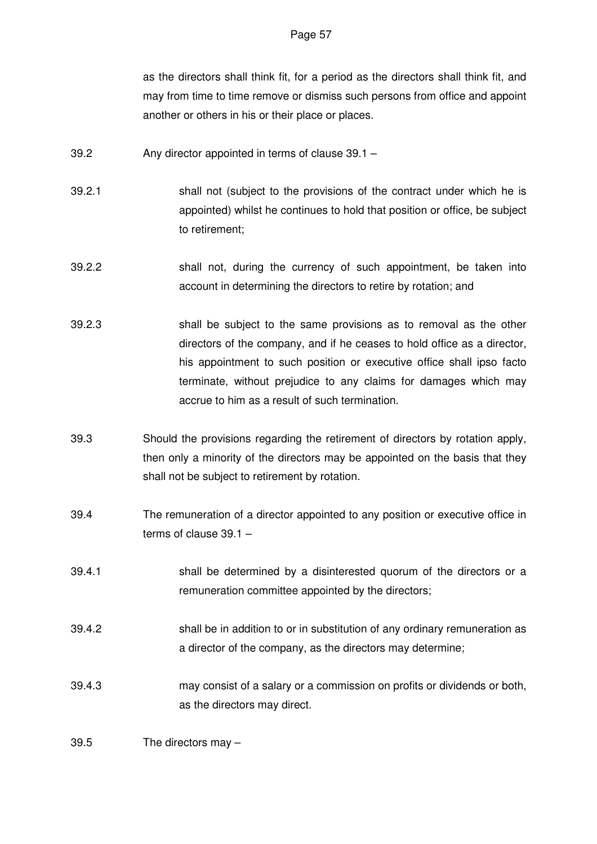as the directors shall think fit, for a period as the directors shall think fit, and may from time to time remove or dismiss such persons from office and appoint another or others in his or their place or places.

- 39.2 Any director appointed in terms of clause 39.1 –
- 39.2.1 shall not (subject to the provisions of the contract under which he is appointed) whilst he continues to hold that position or office, be subject to retirement;
- 39.2.2 shall not, during the currency of such appointment, be taken into account in determining the directors to retire by rotation; and
- 39.2.3 shall be subject to the same provisions as to removal as the other directors of the company, and if he ceases to hold office as a director, his appointment to such position or executive office shall ipso facto terminate, without prejudice to any claims for damages which may accrue to him as a result of such termination.
- 39.3 Should the provisions regarding the retirement of directors by rotation apply, then only a minority of the directors may be appointed on the basis that they shall not be subject to retirement by rotation.
- 39.4 The remuneration of a director appointed to any position or executive office in terms of clause 39.1 –
- 39.4.1 shall be determined by a disinterested quorum of the directors or a remuneration committee appointed by the directors;
- 39.4.2 shall be in addition to or in substitution of any ordinary remuneration as a director of the company, as the directors may determine;
- 39.4.3 may consist of a salary or a commission on profits or dividends or both, as the directors may direct.

# 39.5 The directors may –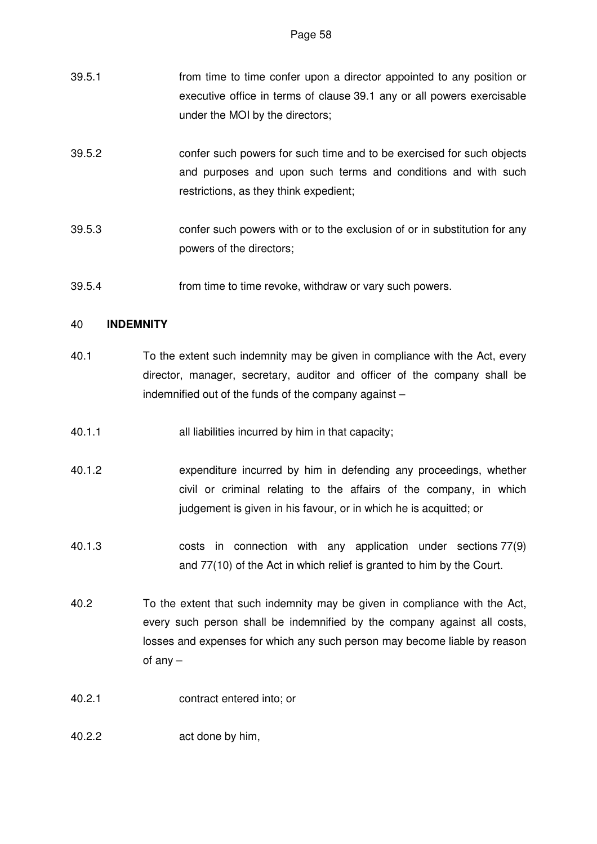| 39.5.1 | from time to time confer upon a director appointed to any position or  |
|--------|------------------------------------------------------------------------|
|        | executive office in terms of clause 39.1 any or all powers exercisable |
|        | under the MOI by the directors;                                        |

- 39.5.2 confer such powers for such time and to be exercised for such objects and purposes and upon such terms and conditions and with such restrictions, as they think expedient;
- 39.5.3 confer such powers with or to the exclusion of or in substitution for any powers of the directors;
- 39.5.4 from time to time revoke, withdraw or vary such powers.

# 40 **INDEMNITY**

- 40.1 To the extent such indemnity may be given in compliance with the Act, every director, manager, secretary, auditor and officer of the company shall be indemnified out of the funds of the company against –
- 40.1.1 all liabilities incurred by him in that capacity;
- 40.1.2 expenditure incurred by him in defending any proceedings, whether civil or criminal relating to the affairs of the company, in which judgement is given in his favour, or in which he is acquitted; or
- 40.1.3 costs in connection with any application under sections 77(9) and 77(10) of the Act in which relief is granted to him by the Court.
- 40.2 To the extent that such indemnity may be given in compliance with the Act, every such person shall be indemnified by the company against all costs, losses and expenses for which any such person may become liable by reason of any –
- 40.2.1 contract entered into; or
- 40.2.2 act done by him,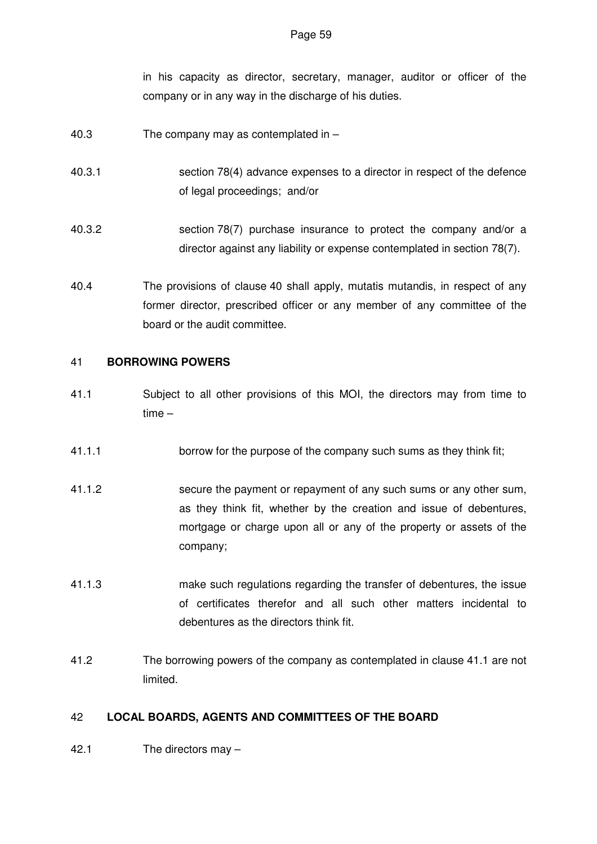in his capacity as director, secretary, manager, auditor or officer of the company or in any way in the discharge of his duties.

- 40.3 The company may as contemplated in –
- 40.3.1 section 78(4) advance expenses to a director in respect of the defence of legal proceedings; and/or
- 40.3.2 section 78(7) purchase insurance to protect the company and/or a director against any liability or expense contemplated in section 78(7).
- 40.4 The provisions of clause 40 shall apply, mutatis mutandis, in respect of any former director, prescribed officer or any member of any committee of the board or the audit committee.

# 41 **BORROWING POWERS**

- 41.1 Subject to all other provisions of this MOI, the directors may from time to time –
- 41.1.1 borrow for the purpose of the company such sums as they think fit;
- 41.1.2 secure the payment or repayment of any such sums or any other sum, as they think fit, whether by the creation and issue of debentures, mortgage or charge upon all or any of the property or assets of the company;
- 41.1.3 make such regulations regarding the transfer of debentures, the issue of certificates therefor and all such other matters incidental to debentures as the directors think fit.
- 41.2 The borrowing powers of the company as contemplated in clause 41.1 are not limited.

# 42 **LOCAL BOARDS, AGENTS AND COMMITTEES OF THE BOARD**

42.1 The directors may –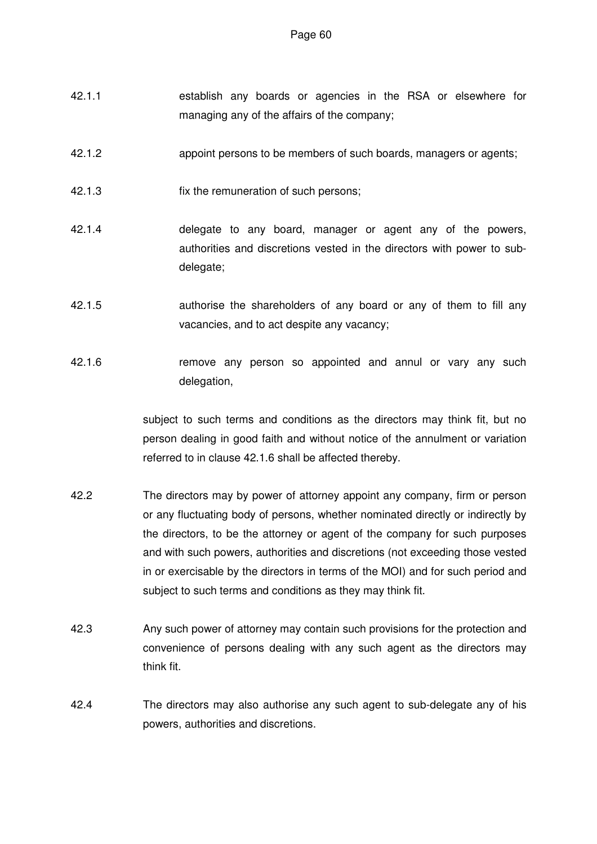- 42.1.1 establish any boards or agencies in the RSA or elsewhere for managing any of the affairs of the company;
- 42.1.2 appoint persons to be members of such boards, managers or agents;
- 42.1.3 fix the remuneration of such persons;
- 42.1.4 delegate to any board, manager or agent any of the powers, authorities and discretions vested in the directors with power to subdelegate;
- 42.1.5 authorise the shareholders of any board or any of them to fill any vacancies, and to act despite any vacancy;
- 42.1.6 remove any person so appointed and annul or vary any such delegation,

subject to such terms and conditions as the directors may think fit, but no person dealing in good faith and without notice of the annulment or variation referred to in clause 42.1.6 shall be affected thereby.

- 42.2 The directors may by power of attorney appoint any company, firm or person or any fluctuating body of persons, whether nominated directly or indirectly by the directors, to be the attorney or agent of the company for such purposes and with such powers, authorities and discretions (not exceeding those vested in or exercisable by the directors in terms of the MOI) and for such period and subject to such terms and conditions as they may think fit.
- 42.3 Any such power of attorney may contain such provisions for the protection and convenience of persons dealing with any such agent as the directors may think fit.
- 42.4 The directors may also authorise any such agent to sub-delegate any of his powers, authorities and discretions.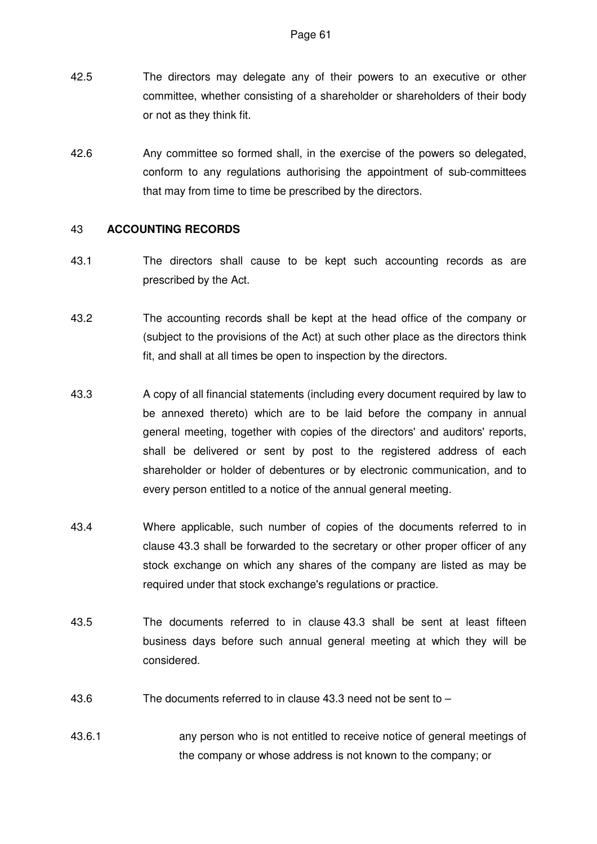- 42.5 The directors may delegate any of their powers to an executive or other committee, whether consisting of a shareholder or shareholders of their body or not as they think fit.
- 42.6 Any committee so formed shall, in the exercise of the powers so delegated, conform to any regulations authorising the appointment of sub-committees that may from time to time be prescribed by the directors.

## 43 **ACCOUNTING RECORDS**

- 43.1 The directors shall cause to be kept such accounting records as are prescribed by the Act.
- 43.2 The accounting records shall be kept at the head office of the company or (subject to the provisions of the Act) at such other place as the directors think fit, and shall at all times be open to inspection by the directors.
- 43.3 A copy of all financial statements (including every document required by law to be annexed thereto) which are to be laid before the company in annual general meeting, together with copies of the directors' and auditors' reports, shall be delivered or sent by post to the registered address of each shareholder or holder of debentures or by electronic communication, and to every person entitled to a notice of the annual general meeting.
- 43.4 Where applicable, such number of copies of the documents referred to in clause 43.3 shall be forwarded to the secretary or other proper officer of any stock exchange on which any shares of the company are listed as may be required under that stock exchange's regulations or practice.
- 43.5 The documents referred to in clause 43.3 shall be sent at least fifteen business days before such annual general meeting at which they will be considered.
- 43.6 The documents referred to in clause 43.3 need not be sent to –
- 43.6.1 any person who is not entitled to receive notice of general meetings of the company or whose address is not known to the company; or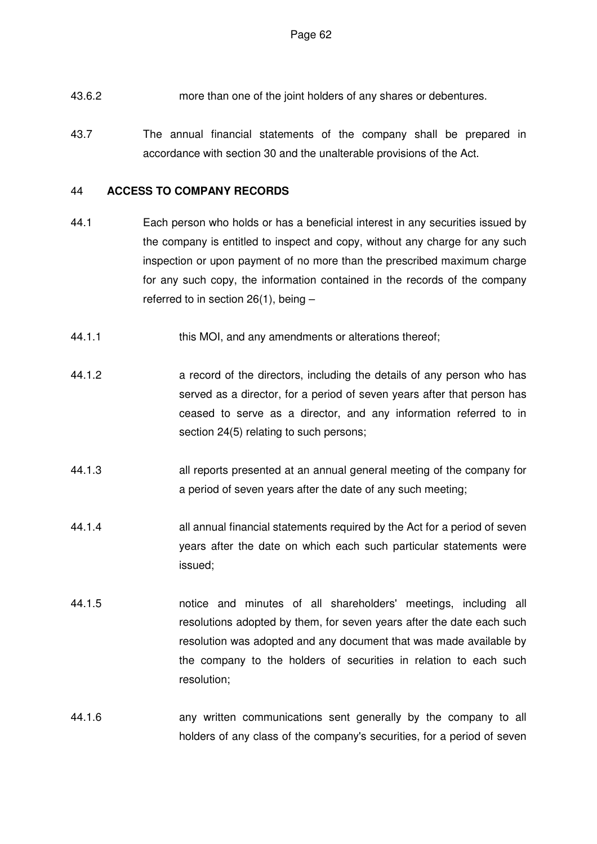- 43.6.2 more than one of the joint holders of any shares or debentures.
- 43.7 The annual financial statements of the company shall be prepared in accordance with section 30 and the unalterable provisions of the Act.

# 44 **ACCESS TO COMPANY RECORDS**

- 44.1 Each person who holds or has a beneficial interest in any securities issued by the company is entitled to inspect and copy, without any charge for any such inspection or upon payment of no more than the prescribed maximum charge for any such copy, the information contained in the records of the company referred to in section 26(1), being –
- 44.1.1 this MOI, and any amendments or alterations thereof;
- 44.1.2 a record of the directors, including the details of any person who has served as a director, for a period of seven years after that person has ceased to serve as a director, and any information referred to in section 24(5) relating to such persons;
- 44.1.3 all reports presented at an annual general meeting of the company for a period of seven years after the date of any such meeting;
- 44.1.4 all annual financial statements required by the Act for a period of seven years after the date on which each such particular statements were issued;
- 44.1.5 notice and minutes of all shareholders' meetings, including all resolutions adopted by them, for seven years after the date each such resolution was adopted and any document that was made available by the company to the holders of securities in relation to each such resolution;
- 44.1.6 any written communications sent generally by the company to all holders of any class of the company's securities, for a period of seven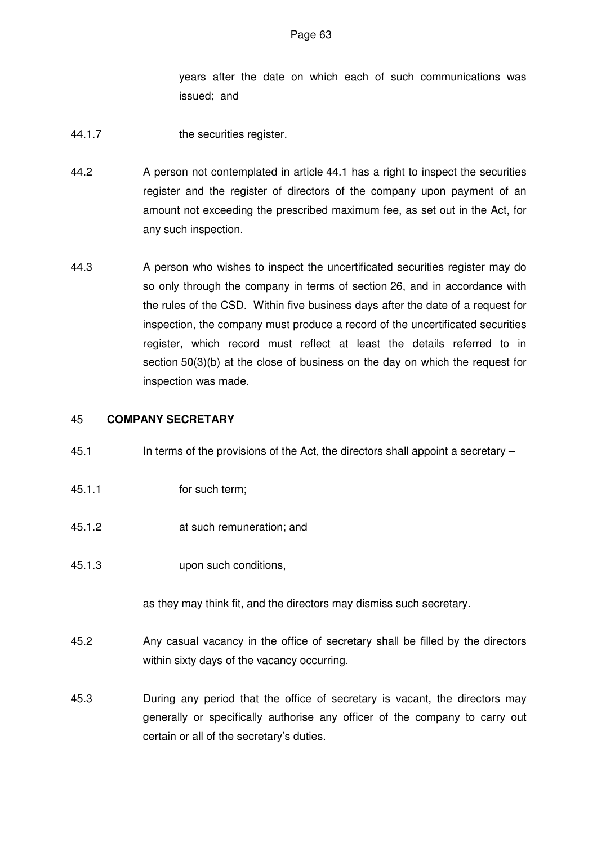years after the date on which each of such communications was issued; and

- 44.1.7 the securities register.
- 44.2 A person not contemplated in article 44.1 has a right to inspect the securities register and the register of directors of the company upon payment of an amount not exceeding the prescribed maximum fee, as set out in the Act, for any such inspection.
- 44.3 A person who wishes to inspect the uncertificated securities register may do so only through the company in terms of section 26, and in accordance with the rules of the CSD. Within five business days after the date of a request for inspection, the company must produce a record of the uncertificated securities register, which record must reflect at least the details referred to in section 50(3)(b) at the close of business on the day on which the request for inspection was made.

## 45 **COMPANY SECRETARY**

- 45.1 In terms of the provisions of the Act, the directors shall appoint a secretary –
- 45.1.1 for such term;
- 45.1.2 at such remuneration; and
- 45.1.3 upon such conditions,

as they may think fit, and the directors may dismiss such secretary.

- 45.2 Any casual vacancy in the office of secretary shall be filled by the directors within sixty days of the vacancy occurring.
- 45.3 During any period that the office of secretary is vacant, the directors may generally or specifically authorise any officer of the company to carry out certain or all of the secretary's duties.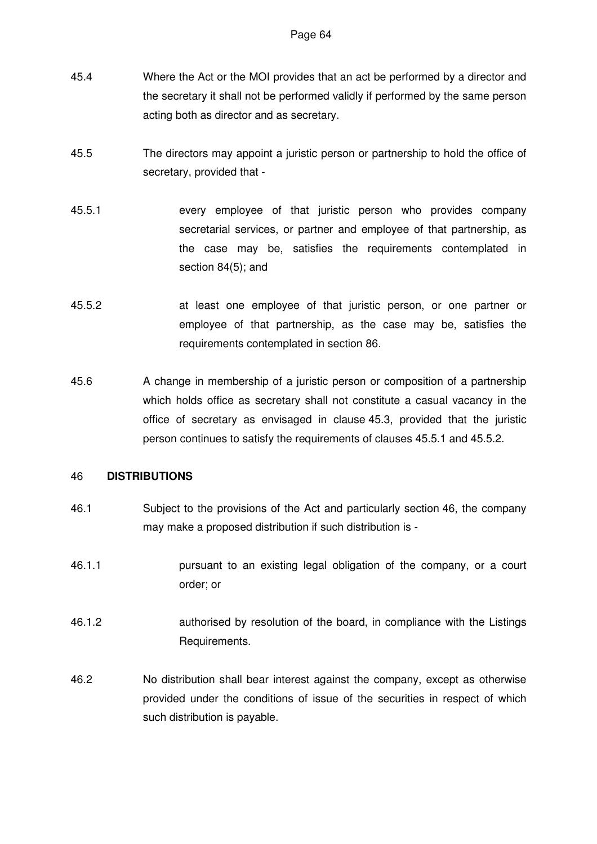- 45.4 Where the Act or the MOI provides that an act be performed by a director and the secretary it shall not be performed validly if performed by the same person acting both as director and as secretary.
- 45.5 The directors may appoint a juristic person or partnership to hold the office of secretary, provided that -
- 45.5.1 every employee of that juristic person who provides company secretarial services, or partner and employee of that partnership, as the case may be, satisfies the requirements contemplated in section 84(5); and
- 45.5.2 at least one employee of that juristic person, or one partner or employee of that partnership, as the case may be, satisfies the requirements contemplated in section 86.
- 45.6 A change in membership of a juristic person or composition of a partnership which holds office as secretary shall not constitute a casual vacancy in the office of secretary as envisaged in clause 45.3, provided that the juristic person continues to satisfy the requirements of clauses 45.5.1 and 45.5.2.

#### 46 **DISTRIBUTIONS**

- 46.1 Subject to the provisions of the Act and particularly section 46, the company may make a proposed distribution if such distribution is -
- 46.1.1 pursuant to an existing legal obligation of the company, or a court order; or
- 46.1.2 authorised by resolution of the board, in compliance with the Listings Requirements.
- 46.2 No distribution shall bear interest against the company, except as otherwise provided under the conditions of issue of the securities in respect of which such distribution is payable.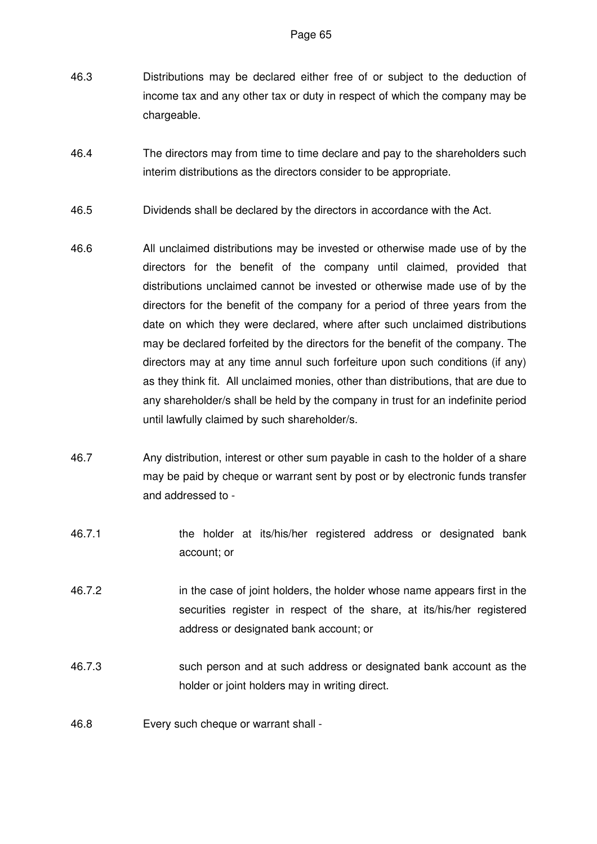- 46.3 Distributions may be declared either free of or subject to the deduction of income tax and any other tax or duty in respect of which the company may be chargeable.
- 46.4 The directors may from time to time declare and pay to the shareholders such interim distributions as the directors consider to be appropriate.
- 46.5 Dividends shall be declared by the directors in accordance with the Act.
- 46.6 All unclaimed distributions may be invested or otherwise made use of by the directors for the benefit of the company until claimed, provided that distributions unclaimed cannot be invested or otherwise made use of by the directors for the benefit of the company for a period of three years from the date on which they were declared, where after such unclaimed distributions may be declared forfeited by the directors for the benefit of the company. The directors may at any time annul such forfeiture upon such conditions (if any) as they think fit. All unclaimed monies, other than distributions, that are due to any shareholder/s shall be held by the company in trust for an indefinite period until lawfully claimed by such shareholder/s.
- 46.7 Any distribution, interest or other sum payable in cash to the holder of a share may be paid by cheque or warrant sent by post or by electronic funds transfer and addressed to -
- 46.7.1 the holder at its/his/her registered address or designated bank account; or
- 46.7.2 in the case of joint holders, the holder whose name appears first in the securities register in respect of the share, at its/his/her registered address or designated bank account; or
- 46.7.3 such person and at such address or designated bank account as the holder or joint holders may in writing direct.
- 46.8 Every such cheque or warrant shall -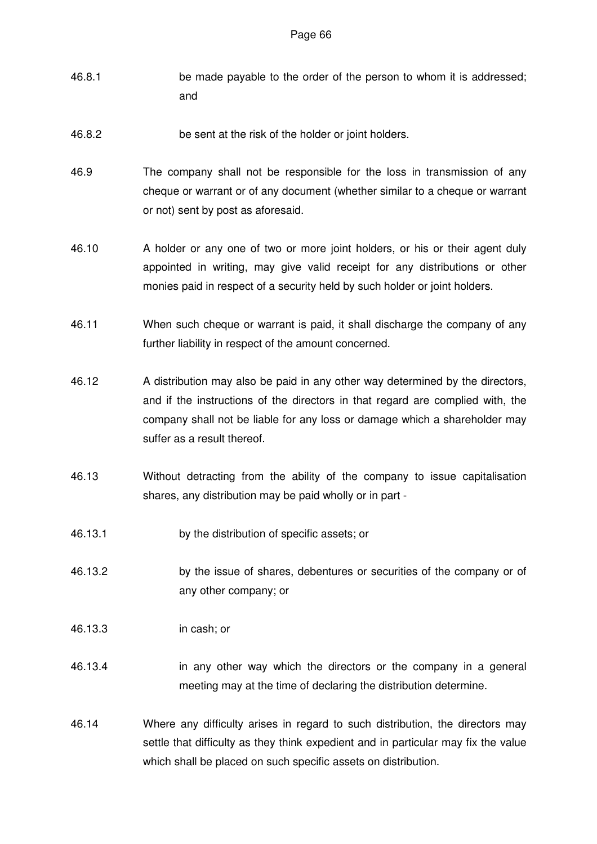- 46.8.1 be made payable to the order of the person to whom it is addressed; and
- 46.8.2 be sent at the risk of the holder or joint holders.
- 46.9 The company shall not be responsible for the loss in transmission of any cheque or warrant or of any document (whether similar to a cheque or warrant or not) sent by post as aforesaid.
- 46.10 A holder or any one of two or more joint holders, or his or their agent duly appointed in writing, may give valid receipt for any distributions or other monies paid in respect of a security held by such holder or joint holders.
- 46.11 When such cheque or warrant is paid, it shall discharge the company of any further liability in respect of the amount concerned.
- 46.12 A distribution may also be paid in any other way determined by the directors, and if the instructions of the directors in that regard are complied with, the company shall not be liable for any loss or damage which a shareholder may suffer as a result thereof.
- 46.13 Without detracting from the ability of the company to issue capitalisation shares, any distribution may be paid wholly or in part -
- 46.13.1 by the distribution of specific assets; or
- 46.13.2 by the issue of shares, debentures or securities of the company or of any other company; or
- 46.13.3 in cash; or
- 46.13.4 in any other way which the directors or the company in a general meeting may at the time of declaring the distribution determine.
- 46.14 Where any difficulty arises in regard to such distribution, the directors may settle that difficulty as they think expedient and in particular may fix the value which shall be placed on such specific assets on distribution.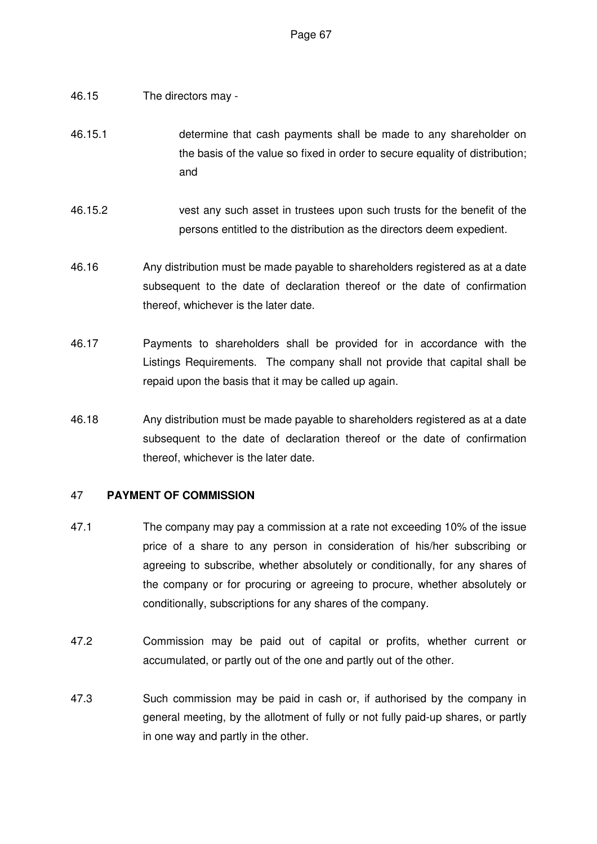- 46.15 The directors may -
- 46.15.1 determine that cash payments shall be made to any shareholder on the basis of the value so fixed in order to secure equality of distribution; and
- 46.15.2 vest any such asset in trustees upon such trusts for the benefit of the persons entitled to the distribution as the directors deem expedient.
- 46.16 Any distribution must be made payable to shareholders registered as at a date subsequent to the date of declaration thereof or the date of confirmation thereof, whichever is the later date.
- 46.17 Payments to shareholders shall be provided for in accordance with the Listings Requirements. The company shall not provide that capital shall be repaid upon the basis that it may be called up again.
- 46.18 Any distribution must be made payable to shareholders registered as at a date subsequent to the date of declaration thereof or the date of confirmation thereof, whichever is the later date.

# 47 **PAYMENT OF COMMISSION**

- 47.1 The company may pay a commission at a rate not exceeding 10% of the issue price of a share to any person in consideration of his/her subscribing or agreeing to subscribe, whether absolutely or conditionally, for any shares of the company or for procuring or agreeing to procure, whether absolutely or conditionally, subscriptions for any shares of the company.
- 47.2 Commission may be paid out of capital or profits, whether current or accumulated, or partly out of the one and partly out of the other.
- 47.3 Such commission may be paid in cash or, if authorised by the company in general meeting, by the allotment of fully or not fully paid-up shares, or partly in one way and partly in the other.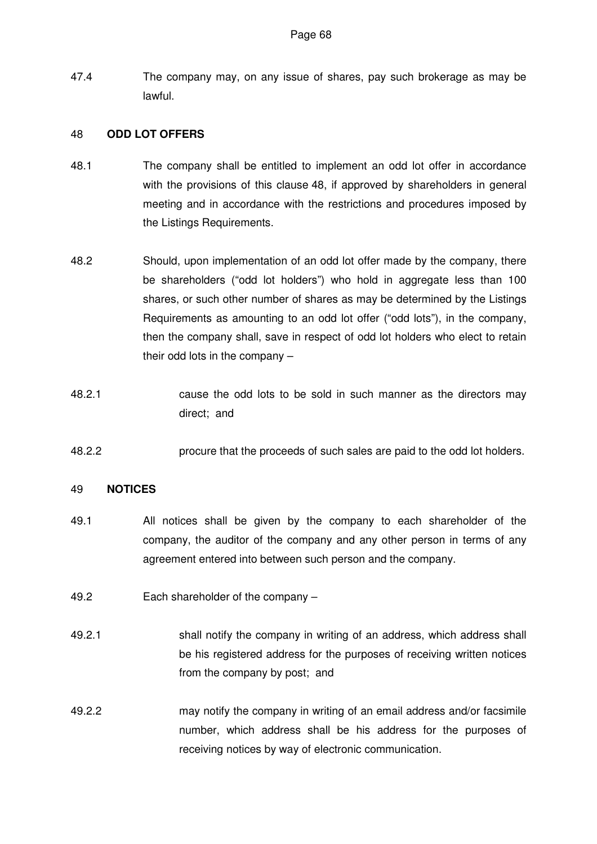47.4 The company may, on any issue of shares, pay such brokerage as may be lawful.

### 48 **ODD LOT OFFERS**

- 48.1 The company shall be entitled to implement an odd lot offer in accordance with the provisions of this clause 48, if approved by shareholders in general meeting and in accordance with the restrictions and procedures imposed by the Listings Requirements.
- 48.2 Should, upon implementation of an odd lot offer made by the company, there be shareholders ("odd lot holders") who hold in aggregate less than 100 shares, or such other number of shares as may be determined by the Listings Requirements as amounting to an odd lot offer ("odd lots"), in the company, then the company shall, save in respect of odd lot holders who elect to retain their odd lots in the company –
- 48.2.1 cause the odd lots to be sold in such manner as the directors may direct; and
- 48.2.2 procure that the proceeds of such sales are paid to the odd lot holders.

## 49 **NOTICES**

- 49.1 All notices shall be given by the company to each shareholder of the company, the auditor of the company and any other person in terms of any agreement entered into between such person and the company.
- 49.2 Each shareholder of the company –
- 49.2.1 shall notify the company in writing of an address, which address shall be his registered address for the purposes of receiving written notices from the company by post; and
- 49.2.2 may notify the company in writing of an email address and/or facsimile number, which address shall be his address for the purposes of receiving notices by way of electronic communication.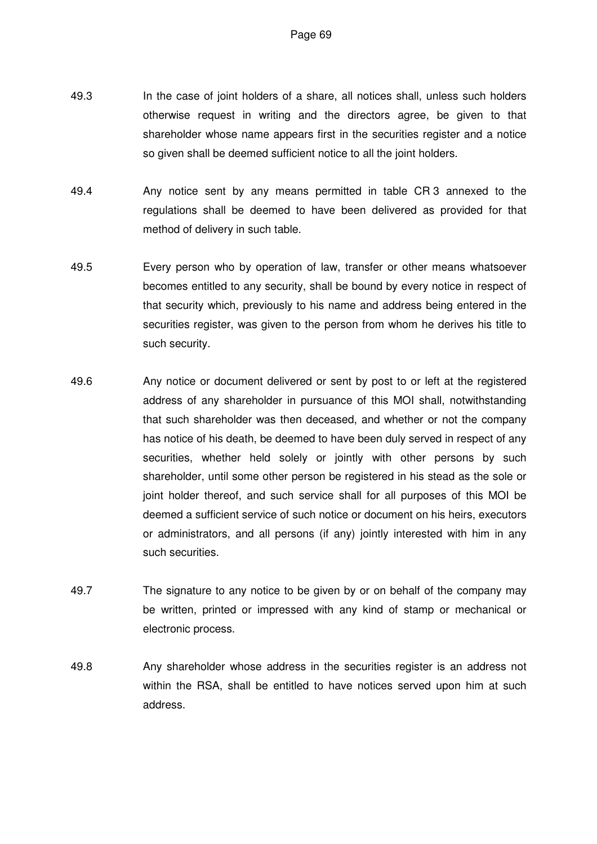- 49.3 In the case of joint holders of a share, all notices shall, unless such holders otherwise request in writing and the directors agree, be given to that shareholder whose name appears first in the securities register and a notice so given shall be deemed sufficient notice to all the joint holders.
- 49.4 Any notice sent by any means permitted in table CR 3 annexed to the regulations shall be deemed to have been delivered as provided for that method of delivery in such table.
- 49.5 Every person who by operation of law, transfer or other means whatsoever becomes entitled to any security, shall be bound by every notice in respect of that security which, previously to his name and address being entered in the securities register, was given to the person from whom he derives his title to such security.
- 49.6 Any notice or document delivered or sent by post to or left at the registered address of any shareholder in pursuance of this MOI shall, notwithstanding that such shareholder was then deceased, and whether or not the company has notice of his death, be deemed to have been duly served in respect of any securities, whether held solely or jointly with other persons by such shareholder, until some other person be registered in his stead as the sole or joint holder thereof, and such service shall for all purposes of this MOI be deemed a sufficient service of such notice or document on his heirs, executors or administrators, and all persons (if any) jointly interested with him in any such securities.
- 49.7 The signature to any notice to be given by or on behalf of the company may be written, printed or impressed with any kind of stamp or mechanical or electronic process.
- 49.8 Any shareholder whose address in the securities register is an address not within the RSA, shall be entitled to have notices served upon him at such address.